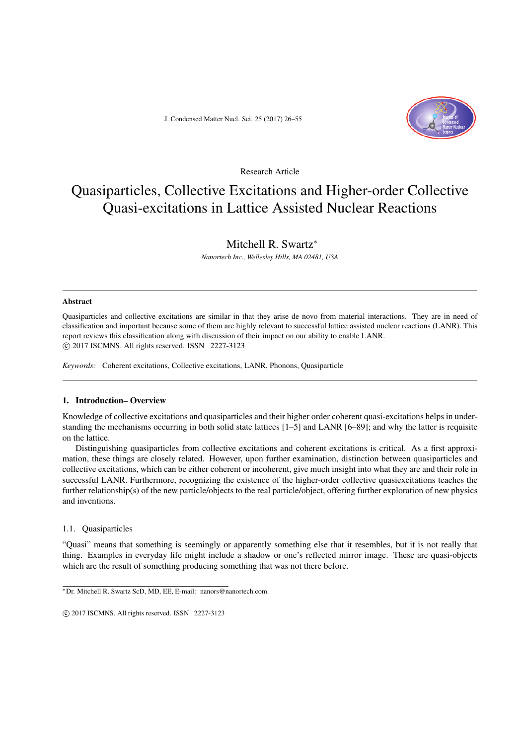J. Condensed Matter Nucl. Sci. 25 (2017) 26–55



Research Article

# Quasiparticles, Collective Excitations and Higher-order Collective Quasi-excitations in Lattice Assisted Nuclear Reactions

# Mitchell R. Swartz*<sup>∗</sup>*

*Nanortech Inc., Wellesley Hills, MA 02481, USA*

#### Abstract

Quasiparticles and collective excitations are similar in that they arise de novo from material interactions. They are in need of classification and important because some of them are highly relevant to successful lattice assisted nuclear reactions (LANR). This report reviews this classification along with discussion of their impact on our ability to enable LANR. *⃝*c 2017 ISCMNS. All rights reserved. ISSN 2227-3123

*Keywords:* Coherent excitations, Collective excitations, LANR, Phonons, Quasiparticle

## 1. Introduction– Overview

Knowledge of collective excitations and quasiparticles and their higher order coherent quasi-excitations helps in understanding the mechanisms occurring in both solid state lattices [1–5] and LANR [6–89]; and why the latter is requisite on the lattice.

Distinguishing quasiparticles from collective excitations and coherent excitations is critical. As a first approximation, these things are closely related. However, upon further examination, distinction between quasiparticles and collective excitations, which can be either coherent or incoherent, give much insight into what they are and their role in successful LANR. Furthermore, recognizing the existence of the higher-order collective quasiexcitations teaches the further relationship(s) of the new particle/objects to the real particle/object, offering further exploration of new physics and inventions.

## 1.1. Quasiparticles

"Quasi" means that something is seemingly or apparently something else that it resembles, but it is not really that thing. Examples in everyday life might include a shadow or one's reflected mirror image. These are quasi-objects which are the result of something producing something that was not there before.

*<sup>∗</sup>*Dr. Mitchell R. Swartz ScD, MD, EE, E-mail: nanors@nanortech.com.

 $\circ$  2017 ISCMNS. All rights reserved. ISSN 2227-3123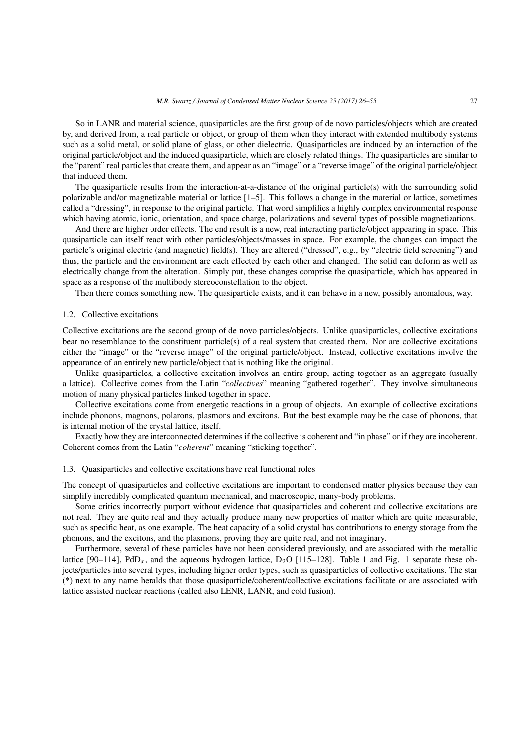So in LANR and material science, quasiparticles are the first group of de novo particles/objects which are created by, and derived from, a real particle or object, or group of them when they interact with extended multibody systems such as a solid metal, or solid plane of glass, or other dielectric. Quasiparticles are induced by an interaction of the original particle/object and the induced quasiparticle, which are closely related things. The quasiparticles are similar to the "parent" real particles that create them, and appear as an "image" or a "reverse image" of the original particle/object that induced them.

The quasiparticle results from the interaction-at-a-distance of the original particle(s) with the surrounding solid polarizable and/or magnetizable material or lattice [1–5]. This follows a change in the material or lattice, sometimes called a "dressing", in response to the original particle. That word simplifies a highly complex environmental response which having atomic, ionic, orientation, and space charge, polarizations and several types of possible magnetizations.

And there are higher order effects. The end result is a new, real interacting particle/object appearing in space. This quasiparticle can itself react with other particles/objects/masses in space. For example, the changes can impact the particle's original electric (and magnetic) field(s). They are altered ("dressed", e.g., by "electric field screening") and thus, the particle and the environment are each effected by each other and changed. The solid can deform as well as electrically change from the alteration. Simply put, these changes comprise the quasiparticle, which has appeared in space as a response of the multibody stereoconstellation to the object.

Then there comes something new. The quasiparticle exists, and it can behave in a new, possibly anomalous, way.

## 1.2. Collective excitations

Collective excitations are the second group of de novo particles/objects. Unlike quasiparticles, collective excitations bear no resemblance to the constituent particle(s) of a real system that created them. Nor are collective excitations either the "image" or the "reverse image" of the original particle/object. Instead, collective excitations involve the appearance of an entirely new particle/object that is nothing like the original.

Unlike quasiparticles, a collective excitation involves an entire group, acting together as an aggregate (usually a lattice). Collective comes from the Latin "*collectives*" meaning "gathered together". They involve simultaneous motion of many physical particles linked together in space.

Collective excitations come from energetic reactions in a group of objects. An example of collective excitations include phonons, magnons, polarons, plasmons and excitons. But the best example may be the case of phonons, that is internal motion of the crystal lattice, itself.

Exactly how they are interconnected determines if the collective is coherent and "in phase" or if they are incoherent. Coherent comes from the Latin "*coherent*" meaning "sticking together".

# 1.3. Quasiparticles and collective excitations have real functional roles

The concept of quasiparticles and collective excitations are important to condensed matter physics because they can simplify incredibly complicated quantum mechanical, and macroscopic, many-body problems.

Some critics incorrectly purport without evidence that quasiparticles and coherent and collective excitations are not real. They are quite real and they actually produce many new properties of matter which are quite measurable, such as specific heat, as one example. The heat capacity of a solid crystal has contributions to energy storage from the phonons, and the excitons, and the plasmons, proving they are quite real, and not imaginary.

Furthermore, several of these particles have not been considered previously, and are associated with the metallic lattice [90–114], PdD<sub>x</sub>, and the aqueous hydrogen lattice,  $D_2O$  [115–128]. Table 1 and Fig. 1 separate these objects/particles into several types, including higher order types, such as quasiparticles of collective excitations. The star (\*) next to any name heralds that those quasiparticle/coherent/collective excitations facilitate or are associated with lattice assisted nuclear reactions (called also LENR, LANR, and cold fusion).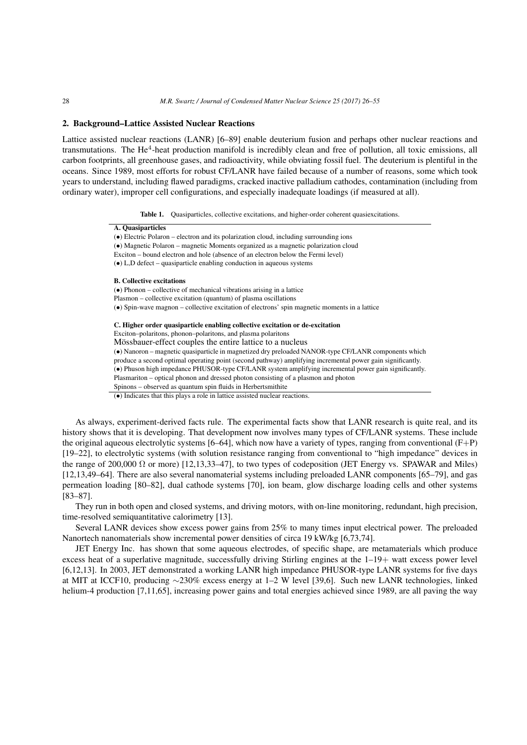## 2. Background–Lattice Assisted Nuclear Reactions

 $\overline{a}$ 

Lattice assisted nuclear reactions (LANR) [6–89] enable deuterium fusion and perhaps other nuclear reactions and transmutations. The He<sup>4</sup>-heat production manifold is incredibly clean and free of pollution, all toxic emissions, all carbon footprints, all greenhouse gases, and radioactivity, while obviating fossil fuel. The deuterium is plentiful in the oceans. Since 1989, most efforts for robust CF/LANR have failed because of a number of reasons, some which took years to understand, including flawed paradigms, cracked inactive palladium cathodes, contamination (including from ordinary water), improper cell configurations, and especially inadequate loadings (if measured at all).

Table 1. Quasiparticles, collective excitations, and higher-order coherent quasiexcitations.

| A. Quasiparticles                                                                                          |
|------------------------------------------------------------------------------------------------------------|
| $\bullet$ Electric Polaron – electron and its polarization cloud, including surrounding ions               |
| (•) Magnetic Polaron – magnetic Moments organized as a magnetic polarization cloud                         |
| Exciton – bound electron and hole (absence of an electron below the Fermi level)                           |
| $\bullet$ L,D defect – quasiparticle enabling conduction in aqueous systems                                |
| <b>B.</b> Collective excitations                                                                           |
| $\bullet$ Phonon – collective of mechanical vibrations arising in a lattice                                |
| Plasmon – collective excitation (quantum) of plasma oscillations                                           |
| $\bullet$ Spin-wave magnon – collective excitation of electrons' spin magnetic moments in a lattice        |
| C. Higher order quasiparticle enabling collective excitation or de-excitation                              |
| Exciton-polaritons, phonon-polaritons, and plasma polaritons                                               |
| Mössbauer-effect couples the entire lattice to a nucleus                                                   |
| (•) Nanoron – magnetic quasiparticle in magnetized dry preloaded NANOR-type CF/LANR components which       |
| produce a second optimal operating point (second pathway) amplifying incremental power gain significantly. |
| (•) Phuson high impedance PHUSOR-type CF/LANR system amplifying incremental power gain significantly.      |
| Plasmariton – optical phonon and dressed photon consisting of a plasmon and photon                         |
| Spinons – observed as quantum spin fluids in Herbertsmithite                                               |
| $\bullet$ ) Indicates that this plays a role in lattice assisted nuclear reactions.                        |

As always, experiment-derived facts rule. The experimental facts show that LANR research is quite real, and its history shows that it is developing. That development now involves many types of CF/LANR systems. These include the original aqueous electrolytic systems [6–64], which now have a variety of types, ranging from conventional (F+P) [19–22], to electrolytic systems (with solution resistance ranging from conventional to "high impedance" devices in the range of 200,000  $\Omega$  or more) [12,13,33–47], to two types of codeposition (JET Energy vs. SPAWAR and Miles) [12,13,49–64]. There are also several nanomaterial systems including preloaded LANR components [65–79], and gas permeation loading [80–82], dual cathode systems [70], ion beam, glow discharge loading cells and other systems [83–87].

They run in both open and closed systems, and driving motors, with on-line monitoring, redundant, high precision, time-resolved semiquantitative calorimetry [13].

Several LANR devices show excess power gains from 25% to many times input electrical power. The preloaded Nanortech nanomaterials show incremental power densities of circa 19 kW/kg [6,73,74].

JET Energy Inc. has shown that some aqueous electrodes, of specific shape, are metamaterials which produce excess heat of a superlative magnitude, successfully driving Stirling engines at the  $1-19+$  watt excess power level [6,12,13]. In 2003, JET demonstrated a working LANR high impedance PHUSOR-type LANR systems for five days at MIT at ICCF10, producing *∼*230% excess energy at 1–2 W level [39,6]. Such new LANR technologies, linked helium-4 production [7,11,65], increasing power gains and total energies achieved since 1989, are all paving the way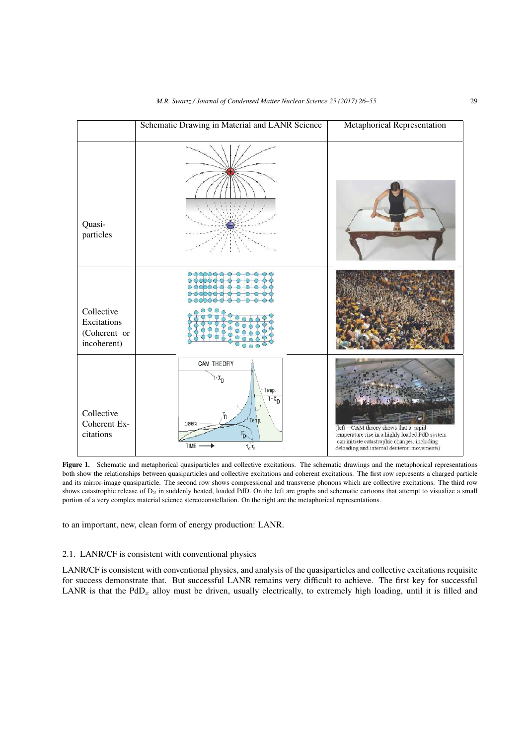|                                                          | Schematic Drawing in Material and LANR Science                                                                                                                            | Metaphorical Representation                                                                                                                                                           |
|----------------------------------------------------------|---------------------------------------------------------------------------------------------------------------------------------------------------------------------------|---------------------------------------------------------------------------------------------------------------------------------------------------------------------------------------|
| Quasi-<br>particles                                      |                                                                                                                                                                           |                                                                                                                                                                                       |
| Collective<br>Excitations<br>(Coherent or<br>incoherent) |                                                                                                                                                                           |                                                                                                                                                                                       |
| Collective<br>Coherent Ex-<br>citations                  | CAM THEORY<br>$\cdot \mathfrak{X}_{\mathsf{D}}$<br>Temp.<br>$1 - \chi_D$<br>Temp.<br>100<br>$\overline{P}$<br>$\tau_c^{\dagger}\tau_e^{\phantom{\dagger}}$<br><b>TIME</b> | (left - CAM theory shows that a rapid<br>temperature rise in a highly loaded PdD system<br>can initiate catastrophic changes, including<br>deloading and internal deuteron movements) |

Figure 1. Schematic and metaphorical quasiparticles and collective excitations. The schematic drawings and the metaphorical representations both show the relationships between quasiparticles and collective excitations and coherent excitations. The first row represents a charged particle and its mirror-image quasiparticle. The second row shows compressional and transverse phonons which are collective excitations. The third row shows catastrophic release of  $D_2$  in suddenly heated, loaded PdD. On the left are graphs and schematic cartoons that attempt to visualize a small portion of a very complex material science stereoconstellation. On the right are the metaphorical representations.

to an important, new, clean form of energy production: LANR.

# 2.1. LANR/CF is consistent with conventional physics

LANR/CF is consistent with conventional physics, and analysis of the quasiparticles and collective excitations requisite for success demonstrate that. But successful LANR remains very difficult to achieve. The first key for successful LANR is that the  $PdD_x$  alloy must be driven, usually electrically, to extremely high loading, until it is filled and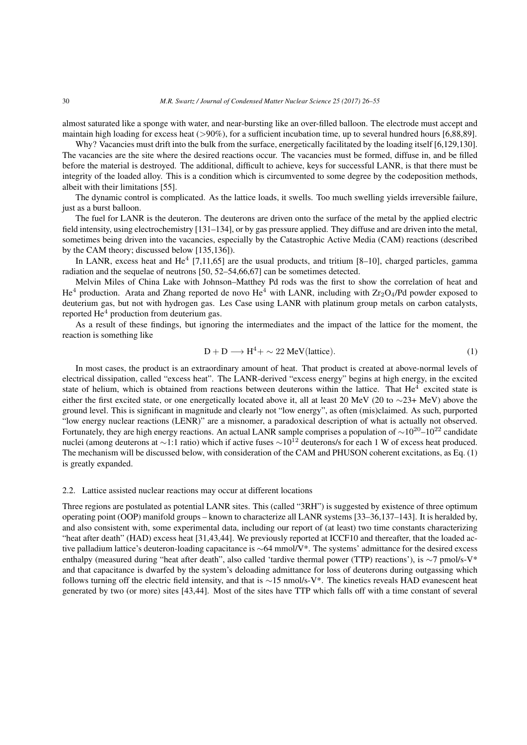almost saturated like a sponge with water, and near-bursting like an over-filled balloon. The electrode must accept and maintain high loading for excess heat (*>*90%), for a sufficient incubation time, up to several hundred hours [6,88,89].

Why? Vacancies must drift into the bulk from the surface, energetically facilitated by the loading itself [6,129,130]. The vacancies are the site where the desired reactions occur. The vacancies must be formed, diffuse in, and be filled before the material is destroyed. The additional, difficult to achieve, keys for successful LANR, is that there must be integrity of the loaded alloy. This is a condition which is circumvented to some degree by the codeposition methods, albeit with their limitations [55].

The dynamic control is complicated. As the lattice loads, it swells. Too much swelling yields irreversible failure, just as a burst balloon.

The fuel for LANR is the deuteron. The deuterons are driven onto the surface of the metal by the applied electric field intensity, using electrochemistry [131–134], or by gas pressure applied. They diffuse and are driven into the metal, sometimes being driven into the vacancies, especially by the Catastrophic Active Media (CAM) reactions (described by the CAM theory; discussed below [135,136]).

In LANR, excess heat and He<sup>4</sup> [7,11,65] are the usual products, and tritium [8-10], charged particles, gamma radiation and the sequelae of neutrons [50, 52–54,66,67] can be sometimes detected.

Melvin Miles of China Lake with Johnson–Matthey Pd rods was the first to show the correlation of heat and  $He<sup>4</sup>$  production. Arata and Zhang reported de novo He<sup>4</sup> with LANR, including with  $Zr_2O_4$ /Pd powder exposed to deuterium gas, but not with hydrogen gas. Les Case using LANR with platinum group metals on carbon catalysts, reported  $He<sup>4</sup>$  production from deuterium gas.

As a result of these findings, but ignoring the intermediates and the impact of the lattice for the moment, the reaction is something like

$$
D + D \longrightarrow H^4 + \sim 22 \text{ MeV}(\text{lattice}).\tag{1}
$$

In most cases, the product is an extraordinary amount of heat. That product is created at above-normal levels of electrical dissipation, called "excess heat". The LANR-derived "excess energy" begins at high energy, in the excited state of helium, which is obtained from reactions between deuterons within the lattice. That  $He<sup>4</sup>$  excited state is either the first excited state, or one energetically located above it, all at least 20 MeV (20 to *∼*23+ MeV) above the ground level. This is significant in magnitude and clearly not "low energy", as often (mis)claimed. As such, purported "low energy nuclear reactions (LENR)" are a misnomer, a paradoxical description of what is actually not observed. Fortunately, they are high energy reactions. An actual LANR sample comprises a population of *<sup>∼</sup>*10<sup>20</sup>–10<sup>22</sup> candidate nuclei (among deuterons at *∼*1:1 ratio) which if active fuses  $\sim 10^{12}$  deuterons/s for each 1 W of excess heat produced. The mechanism will be discussed below, with consideration of the CAM and PHUSON coherent excitations, as Eq. (1) is greatly expanded.

#### 2.2. Lattice assisted nuclear reactions may occur at different locations

Three regions are postulated as potential LANR sites. This (called "3RH") is suggested by existence of three optimum operating point (OOP) manifold groups – known to characterize all LANR systems [33–36,137–143]. It is heralded by, and also consistent with, some experimental data, including our report of (at least) two time constants characterizing "heat after death" (HAD) excess heat [31,43,44]. We previously reported at ICCF10 and thereafter, that the loaded active palladium lattice's deuteron-loading capacitance is *∼*64 mmol/V\*. The systems' admittance for the desired excess enthalpy (measured during "heat after death", also called 'tardive thermal power (TTP) reactions'), is *∼*7 pmol/s-V\* and that capacitance is dwarfed by the system's deloading admittance for loss of deuterons during outgassing which follows turning off the electric field intensity, and that is *∼*15 nmol/s-V\*. The kinetics reveals HAD evanescent heat generated by two (or more) sites [43,44]. Most of the sites have TTP which falls off with a time constant of several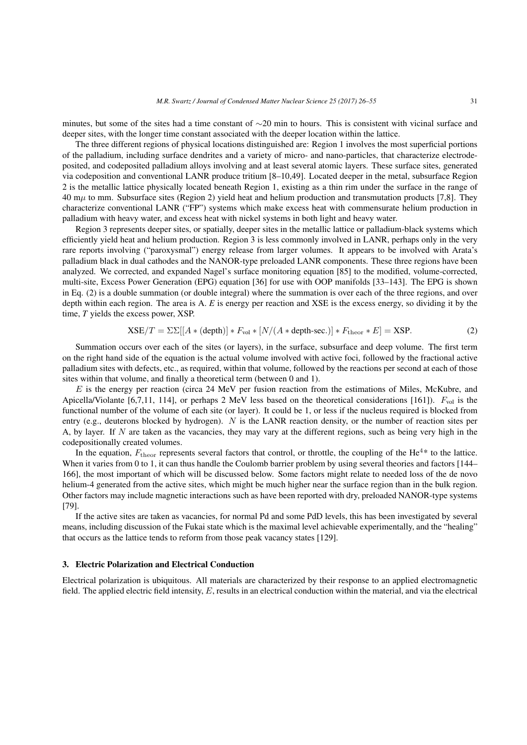minutes, but some of the sites had a time constant of *∼*20 min to hours. This is consistent with vicinal surface and deeper sites, with the longer time constant associated with the deeper location within the lattice.

The three different regions of physical locations distinguished are: Region 1 involves the most superficial portions of the palladium, including surface dendrites and a variety of micro- and nano-particles, that characterize electrodeposited, and codeposited palladium alloys involving and at least several atomic layers. These surface sites, generated via codeposition and conventional LANR produce tritium [8–10,49]. Located deeper in the metal, subsurface Region 2 is the metallic lattice physically located beneath Region 1, existing as a thin rim under the surface in the range of 40 m $\mu$  to mm. Subsurface sites (Region 2) yield heat and helium production and transmutation products [7,8]. They characterize conventional LANR ("FP") systems which make excess heat with commensurate helium production in palladium with heavy water, and excess heat with nickel systems in both light and heavy water.

Region 3 represents deeper sites, or spatially, deeper sites in the metallic lattice or palladium-black systems which efficiently yield heat and helium production. Region 3 is less commonly involved in LANR, perhaps only in the very rare reports involving ("paroxysmal") energy release from larger volumes. It appears to be involved with Arata's palladium black in dual cathodes and the NANOR-type preloaded LANR components. These three regions have been analyzed. We corrected, and expanded Nagel's surface monitoring equation [85] to the modified, volume-corrected, multi-site, Excess Power Generation (EPG) equation [36] for use with OOP manifolds [33–143]. The EPG is shown in Eq. (2) is a double summation (or double integral) where the summation is over each of the three regions, and over depth within each region. The area is A. *E* is energy per reaction and XSE is the excess energy, so dividing it by the time, *T* yields the excess power, XSP.

$$
XSE/T = \Sigma\Sigma[[A * (depth)] * F_{\text{vol}} * [N/(A * depth\text{-sec.})] * F_{\text{theor}} * E] = XSP.
$$
 (2)

Summation occurs over each of the sites (or layers), in the surface, subsurface and deep volume. The first term on the right hand side of the equation is the actual volume involved with active foci, followed by the fractional active palladium sites with defects, etc., as required, within that volume, followed by the reactions per second at each of those sites within that volume, and finally a theoretical term (between 0 and 1).

*E* is the energy per reaction (circa 24 MeV per fusion reaction from the estimations of Miles, McKubre, and Apicella/Violante [6,7,11, 114], or perhaps 2 MeV less based on the theoretical considerations [161]).  $F_{\text{vol}}$  is the functional number of the volume of each site (or layer). It could be 1, or less if the nucleus required is blocked from entry (e.g., deuterons blocked by hydrogen). *N* is the LANR reaction density, or the number of reaction sites per A, by layer. If *N* are taken as the vacancies, they may vary at the different regions, such as being very high in the codepositionally created volumes.

In the equation,  $F_{\text{theor}}$  represents several factors that control, or throttle, the coupling of the He<sup>4\*</sup> to the lattice. When it varies from 0 to 1, it can thus handle the Coulomb barrier problem by using several theories and factors [144– 166], the most important of which will be discussed below. Some factors might relate to needed loss of the de novo helium-4 generated from the active sites, which might be much higher near the surface region than in the bulk region. Other factors may include magnetic interactions such as have been reported with dry, preloaded NANOR-type systems [79].

If the active sites are taken as vacancies, for normal Pd and some PdD levels, this has been investigated by several means, including discussion of the Fukai state which is the maximal level achievable experimentally, and the "healing" that occurs as the lattice tends to reform from those peak vacancy states [129].

#### 3. Electric Polarization and Electrical Conduction

Electrical polarization is ubiquitous. All materials are characterized by their response to an applied electromagnetic field. The applied electric field intensity, *E*, results in an electrical conduction within the material, and via the electrical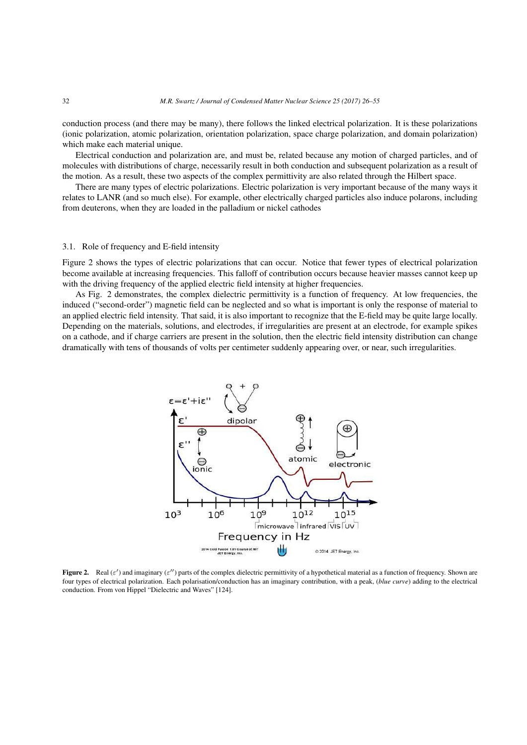conduction process (and there may be many), there follows the linked electrical polarization. It is these polarizations (ionic polarization, atomic polarization, orientation polarization, space charge polarization, and domain polarization) which make each material unique.

Electrical conduction and polarization are, and must be, related because any motion of charged particles, and of molecules with distributions of charge, necessarily result in both conduction and subsequent polarization as a result of the motion. As a result, these two aspects of the complex permittivity are also related through the Hilbert space.

There are many types of electric polarizations. Electric polarization is very important because of the many ways it relates to LANR (and so much else). For example, other electrically charged particles also induce polarons, including from deuterons, when they are loaded in the palladium or nickel cathodes

## 3.1. Role of frequency and E-field intensity

Figure 2 shows the types of electric polarizations that can occur. Notice that fewer types of electrical polarization become available at increasing frequencies. This falloff of contribution occurs because heavier masses cannot keep up with the driving frequency of the applied electric field intensity at higher frequencies.

As Fig. 2 demonstrates, the complex dielectric permittivity is a function of frequency. At low frequencies, the induced ("second-order") magnetic field can be neglected and so what is important is only the response of material to an applied electric field intensity. That said, it is also important to recognize that the E-field may be quite large locally. Depending on the materials, solutions, and electrodes, if irregularities are present at an electrode, for example spikes on a cathode, and if charge carriers are present in the solution, then the electric field intensity distribution can change dramatically with tens of thousands of volts per centimeter suddenly appearing over, or near, such irregularities.



**Figure 2.** Real  $(\varepsilon')$  and imaginary  $(\varepsilon'')$  parts of the complex dielectric permittivity of a hypothetical material as a function of frequency. Shown are four types of electrical polarization. Each polarisation/conduction has an imaginary contribution, with a peak, (*blue curve*) adding to the electrical conduction. From von Hippel "Dielectric and Waves" [124].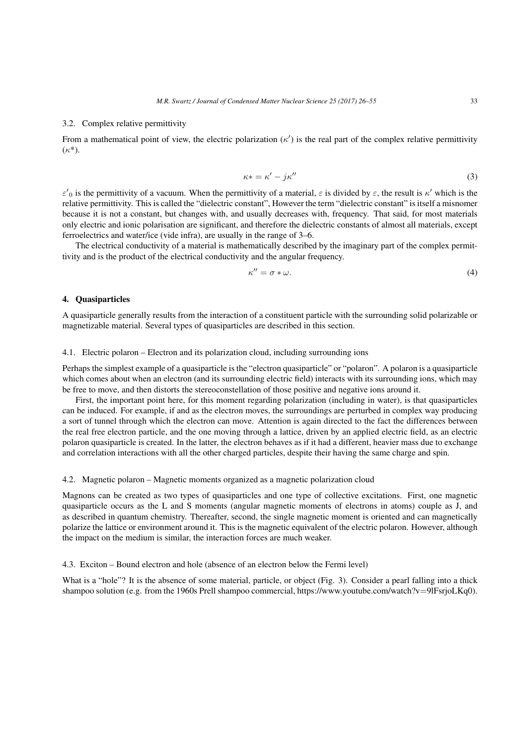## 3.2. Complex relative permittivity

From a mathematical point of view, the electric polarization (*κ ′* ) is the real part of the complex relative permittivity (*κ*\*).

$$
\kappa * = \kappa' - j\kappa'' \tag{3}
$$

*ε*<sup>'</sup><sub>0</sub> is the permittivity of a vacuum. When the permittivity of a material, *ε* is divided by *ε*, the result is *κ*<sup>'</sup> which is the relative permittivity. This is called the "dielectric constant", However the term "dielectric constant" is itself a misnomer because it is not a constant, but changes with, and usually decreases with, frequency. That said, for most materials only electric and ionic polarisation are significant, and therefore the dielectric constants of almost all materials, except ferroelectrics and water/ice (vide infra), are usually in the range of 3–6.

The electrical conductivity of a material is mathematically described by the imaginary part of the complex permittivity and is the product of the electrical conductivity and the angular frequency.

$$
\kappa'' = \sigma * \omega. \tag{4}
$$

## 4. Quasiparticles

A quasiparticle generally results from the interaction of a constituent particle with the surrounding solid polarizable or magnetizable material. Several types of quasiparticles are described in this section.

## 4.1. Electric polaron – Electron and its polarization cloud, including surrounding ions

Perhaps the simplest example of a quasiparticle is the "electron quasiparticle" or "polaron". A polaron is a quasiparticle which comes about when an electron (and its surrounding electric field) interacts with its surrounding ions, which may be free to move, and then distorts the stereoconstellation of those positive and negative ions around it.

First, the important point here, for this moment regarding polarization (including in water), is that quasiparticles can be induced. For example, if and as the electron moves, the surroundings are perturbed in complex way producing a sort of tunnel through which the electron can move. Attention is again directed to the fact the differences between the real free electron particle, and the one moving through a lattice, driven by an applied electric field, as an electric polaron quasiparticle is created. In the latter, the electron behaves as if it had a different, heavier mass due to exchange and correlation interactions with all the other charged particles, despite their having the same charge and spin.

## 4.2. Magnetic polaron – Magnetic moments organized as a magnetic polarization cloud

Magnons can be created as two types of quasiparticles and one type of collective excitations. First, one magnetic quasiparticle occurs as the L and S moments (angular magnetic moments of electrons in atoms) couple as J, and as described in quantum chemistry. Thereafter, second, the single magnetic moment is oriented and can magnetically polarize the lattice or environment around it. This is the magnetic equivalent of the electric polaron. However, although the impact on the medium is similar, the interaction forces are much weaker.

4.3. Exciton – Bound electron and hole (absence of an electron below the Fermi level)

What is a "hole"? It is the absence of some material, particle, or object (Fig. 3). Consider a pearl falling into a thick shampoo solution (e.g. from the 1960s Prell shampoo commercial, https://www.youtube.com/watch?v=9lFsrioLKq0).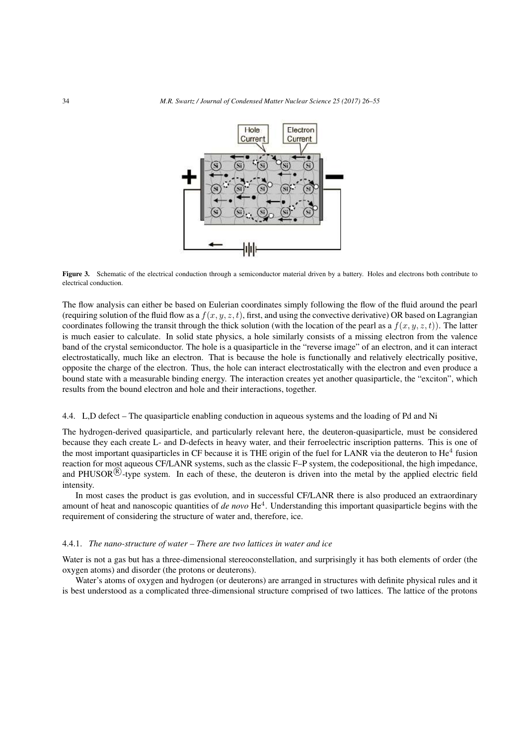

Figure 3. Schematic of the electrical conduction through a semiconductor material driven by a battery. Holes and electrons both contribute to electrical conduction.

The flow analysis can either be based on Eulerian coordinates simply following the flow of the fluid around the pearl (requiring solution of the fluid flow as a  $f(x, y, z, t)$ , first, and using the convective derivative) OR based on Lagrangian coordinates following the transit through the thick solution (with the location of the pearl as a *f*(*x, y, z, t*)). The latter is much easier to calculate. In solid state physics, a hole similarly consists of a missing electron from the valence band of the crystal semiconductor. The hole is a quasiparticle in the "reverse image" of an electron, and it can interact electrostatically, much like an electron. That is because the hole is functionally and relatively electrically positive, opposite the charge of the electron. Thus, the hole can interact electrostatically with the electron and even produce a bound state with a measurable binding energy. The interaction creates yet another quasiparticle, the "exciton", which results from the bound electron and hole and their interactions, together.

### 4.4. L,D defect – The quasiparticle enabling conduction in aqueous systems and the loading of Pd and Ni

The hydrogen-derived quasiparticle, and particularly relevant here, the deuteron-quasiparticle, must be considered because they each create L- and D-defects in heavy water, and their ferroelectric inscription patterns. This is one of the most important quasiparticles in CF because it is THE origin of the fuel for LANR via the deuteron to  $He<sup>4</sup>$  fusion reaction for most aqueous CF/LANR systems, such as the classic F–P system, the codepositional, the high impedance, and PHUSOR<sup>(R)</sup>-type system. In each of these, the deuteron is driven into the metal by the applied electric field intensity.

In most cases the product is gas evolution, and in successful CF/LANR there is also produced an extraordinary amount of heat and nanoscopic quantities of *de novo* He<sup>4</sup>. Understanding this important quasiparticle begins with the requirement of considering the structure of water and, therefore, ice.

#### 4.4.1. *The nano-structure of water – There are two lattices in water and ice*

Water is not a gas but has a three-dimensional stereoconstellation, and surprisingly it has both elements of order (the oxygen atoms) and disorder (the protons or deuterons).

Water's atoms of oxygen and hydrogen (or deuterons) are arranged in structures with definite physical rules and it is best understood as a complicated three-dimensional structure comprised of two lattices. The lattice of the protons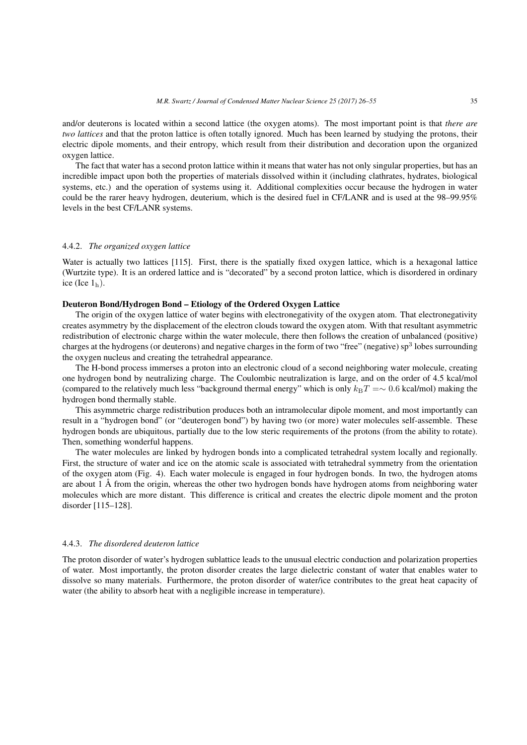and/or deuterons is located within a second lattice (the oxygen atoms). The most important point is that *there are two lattices* and that the proton lattice is often totally ignored. Much has been learned by studying the protons, their electric dipole moments, and their entropy, which result from their distribution and decoration upon the organized oxygen lattice.

The fact that water has a second proton lattice within it means that water has not only singular properties, but has an incredible impact upon both the properties of materials dissolved within it (including clathrates, hydrates, biological systems, etc.) and the operation of systems using it. Additional complexities occur because the hydrogen in water could be the rarer heavy hydrogen, deuterium, which is the desired fuel in CF/LANR and is used at the 98–99.95% levels in the best CF/LANR systems.

## 4.4.2. *The organized oxygen lattice*

Water is actually two lattices [115]. First, there is the spatially fixed oxygen lattice, which is a hexagonal lattice (Wurtzite type). It is an ordered lattice and is "decorated" by a second proton lattice, which is disordered in ordinary ice (Ice  $1<sub>h</sub>$ ).

## Deuteron Bond/Hydrogen Bond – Etiology of the Ordered Oxygen Lattice

The origin of the oxygen lattice of water begins with electronegativity of the oxygen atom. That electronegativity creates asymmetry by the displacement of the electron clouds toward the oxygen atom. With that resultant asymmetric redistribution of electronic charge within the water molecule, there then follows the creation of unbalanced (positive) charges at the hydrogens (or deuterons) and negative charges in the form of two "free" (negative) sp<sup>3</sup> lobes surrounding the oxygen nucleus and creating the tetrahedral appearance.

The H-bond process immerses a proton into an electronic cloud of a second neighboring water molecule, creating one hydrogen bond by neutralizing charge. The Coulombic neutralization is large, and on the order of 4.5 kcal/mol (compared to the relatively much less "background thermal energy" which is only  $k_BT = ~0.6$  kcal/mol) making the hydrogen bond thermally stable.

This asymmetric charge redistribution produces both an intramolecular dipole moment, and most importantly can result in a "hydrogen bond" (or "deuterogen bond") by having two (or more) water molecules self-assemble. These hydrogen bonds are ubiquitous, partially due to the low steric requirements of the protons (from the ability to rotate). Then, something wonderful happens.

The water molecules are linked by hydrogen bonds into a complicated tetrahedral system locally and regionally. First, the structure of water and ice on the atomic scale is associated with tetrahedral symmetry from the orientation of the oxygen atom (Fig. 4). Each water molecule is engaged in four hydrogen bonds. In two, the hydrogen atoms are about 1 Å from the origin, whereas the other two hydrogen bonds have hydrogen atoms from neighboring water molecules which are more distant. This difference is critical and creates the electric dipole moment and the proton disorder [115–128].

## 4.4.3. *The disordered deuteron lattice*

The proton disorder of water's hydrogen sublattice leads to the unusual electric conduction and polarization properties of water. Most importantly, the proton disorder creates the large dielectric constant of water that enables water to dissolve so many materials. Furthermore, the proton disorder of water/ice contributes to the great heat capacity of water (the ability to absorb heat with a negligible increase in temperature).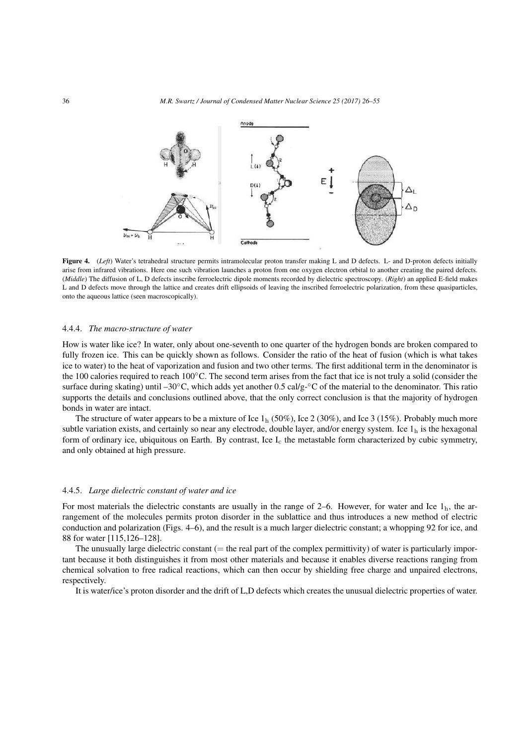

Figure 4. (*Left*) Water's tetrahedral structure permits intramolecular proton transfer making L and D defects. L- and D-proton defects initially arise from infrared vibrations. Here one such vibration launches a proton from one oxygen electron orbital to another creating the paired defects. (*Middle*) The diffusion of L, D defects inscribe ferroelectric dipole moments recorded by dielectric spectroscopy. (*Right*) an applied E-field makes L and D defects move through the lattice and creates drift ellipsoids of leaving the inscribed ferroelectric polarization, from these quasiparticles, onto the aqueous lattice (seen macroscopically).

## 4.4.4. *The macro-structure of water*

How is water like ice? In water, only about one-seventh to one quarter of the hydrogen bonds are broken compared to fully frozen ice. This can be quickly shown as follows. Consider the ratio of the heat of fusion (which is what takes ice to water) to the heat of vaporization and fusion and two other terms. The first additional term in the denominator is the 100 calories required to reach 100*◦*C. The second term arises from the fact that ice is not truly a solid (consider the surface during skating) until –30*◦*C, which adds yet another 0.5 cal/g-*◦*C of the material to the denominator. This ratio supports the details and conclusions outlined above, that the only correct conclusion is that the majority of hydrogen bonds in water are intact.

The structure of water appears to be a mixture of Ice  $1<sub>h</sub>$  (50%), Ice 2 (30%), and Ice 3 (15%). Probably much more subtle variation exists, and certainly so near any electrode, double layer, and/or energy system. Ice  $1<sub>h</sub>$  is the hexagonal form of ordinary ice, ubiquitous on Earth. By contrast, Ice  $I_c$  the metastable form characterized by cubic symmetry, and only obtained at high pressure.

#### 4.4.5. *Large dielectric constant of water and ice*

For most materials the dielectric constants are usually in the range of 2–6. However, for water and Ice  $1<sub>h</sub>$ , the arrangement of the molecules permits proton disorder in the sublattice and thus introduces a new method of electric conduction and polarization (Figs. 4–6), and the result is a much larger dielectric constant; a whopping 92 for ice, and 88 for water [115,126–128].

The unusually large dielectric constant  $(=$  the real part of the complex permittivity) of water is particularly important because it both distinguishes it from most other materials and because it enables diverse reactions ranging from chemical solvation to free radical reactions, which can then occur by shielding free charge and unpaired electrons, respectively.

It is water/ice's proton disorder and the drift of L,D defects which creates the unusual dielectric properties of water.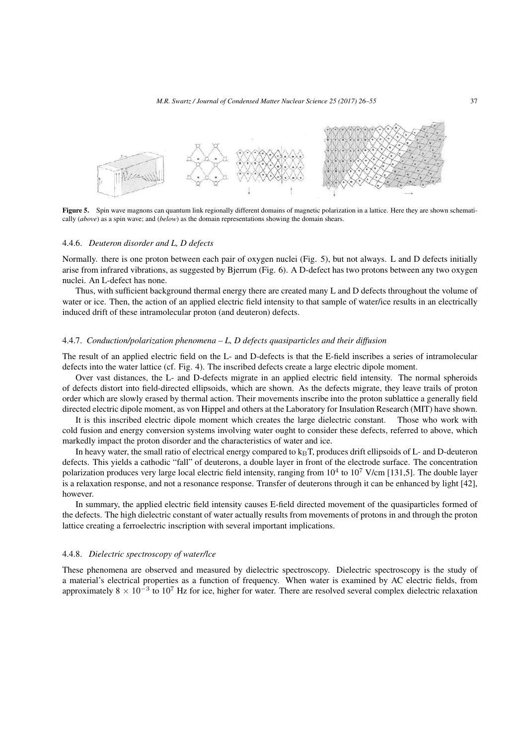*M.R. Swartz / Journal of Condensed Matter Nuclear Science 25 (2017) 26–55* 37



Figure 5. Spin wave magnons can quantum link regionally different domains of magnetic polarization in a lattice. Here they are shown schematically (*above*) as a spin wave; and (*below*) as the domain representations showing the domain shears.

#### 4.4.6. *Deuteron disorder and L, D defects*

Normally. there is one proton between each pair of oxygen nuclei (Fig. 5), but not always. L and D defects initially arise from infrared vibrations, as suggested by Bjerrum (Fig. 6). A D-defect has two protons between any two oxygen nuclei. An L-defect has none.

Thus, with sufficient background thermal energy there are created many L and D defects throughout the volume of water or ice. Then, the action of an applied electric field intensity to that sample of water/ice results in an electrically induced drift of these intramolecular proton (and deuteron) defects.

## 4.4.7. *Conduction/polarization phenomena – L, D defects quasiparticles and their diffusion*

The result of an applied electric field on the L- and D-defects is that the E-field inscribes a series of intramolecular defects into the water lattice (cf. Fig. 4). The inscribed defects create a large electric dipole moment.

Over vast distances, the L- and D-defects migrate in an applied electric field intensity. The normal spheroids of defects distort into field-directed ellipsoids, which are shown. As the defects migrate, they leave trails of proton order which are slowly erased by thermal action. Their movements inscribe into the proton sublattice a generally field directed electric dipole moment, as von Hippel and others at the Laboratory for Insulation Research (MIT) have shown.

It is this inscribed electric dipole moment which creates the large dielectric constant. Those who work with cold fusion and energy conversion systems involving water ought to consider these defects, referred to above, which markedly impact the proton disorder and the characteristics of water and ice.

In heavy water, the small ratio of electrical energy compared to  $k_B T$ , produces drift ellipsoids of L- and D-deuteron defects. This yields a cathodic "fall" of deuterons, a double layer in front of the electrode surface. The concentration polarization produces very large local electric field intensity, ranging from  $10^4$  to  $10^7$  V/cm [131,5]. The double layer is a relaxation response, and not a resonance response. Transfer of deuterons through it can be enhanced by light [42], however.

In summary, the applied electric field intensity causes E-field directed movement of the quasiparticles formed of the defects. The high dielectric constant of water actually results from movements of protons in and through the proton lattice creating a ferroelectric inscription with several important implications.

#### 4.4.8. *Dielectric spectroscopy of water/lce*

These phenomena are observed and measured by dielectric spectroscopy. Dielectric spectroscopy is the study of a material's electrical properties as a function of frequency. When water is examined by AC electric fields, from approximately 8 × 10<sup>-3</sup> to 10<sup>7</sup> Hz for ice, higher for water. There are resolved several complex dielectric relaxation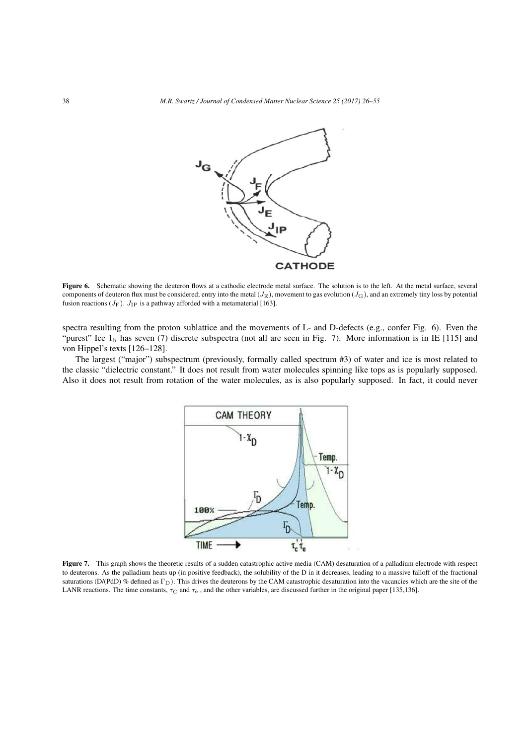

Figure 6. Schematic showing the deuteron flows at a cathodic electrode metal surface. The solution is to the left. At the metal surface, several components of deuteron flux must be considered; entry into the metal (*J*E), movement to gas evolution (*J*G), and an extremely tiny loss by potential fusion reactions  $(J_F)$ .  $J_{IP}$  is a pathway afforded with a metamaterial [163].

spectra resulting from the proton sublattice and the movements of L- and D-defects (e.g., confer Fig. 6). Even the "purest" Ice  $1<sub>h</sub>$  has seven (7) discrete subspectra (not all are seen in Fig. 7). More information is in IE [115] and von Hippel's texts [126–128].

The largest ("major") subspectrum (previously, formally called spectrum #3) of water and ice is most related to the classic "dielectric constant." It does not result from water molecules spinning like tops as is popularly supposed. Also it does not result from rotation of the water molecules, as is also popularly supposed. In fact, it could never



Figure 7. This graph shows the theoretic results of a sudden catastrophic active media (CAM) desaturation of a palladium electrode with respect to deuterons. As the palladium heats up (in positive feedback), the solubility of the D in it decreases, leading to a massive falloff of the fractional saturations (D/(PdD) % defined as  $\Gamma_D$ ). This drives the deuterons by the CAM catastrophic desaturation into the vacancies which are the site of the LANR reactions. The time constants,  $\tau_c$  and  $\tau_e$ , and the other variables, are discussed further in the original paper [135,136].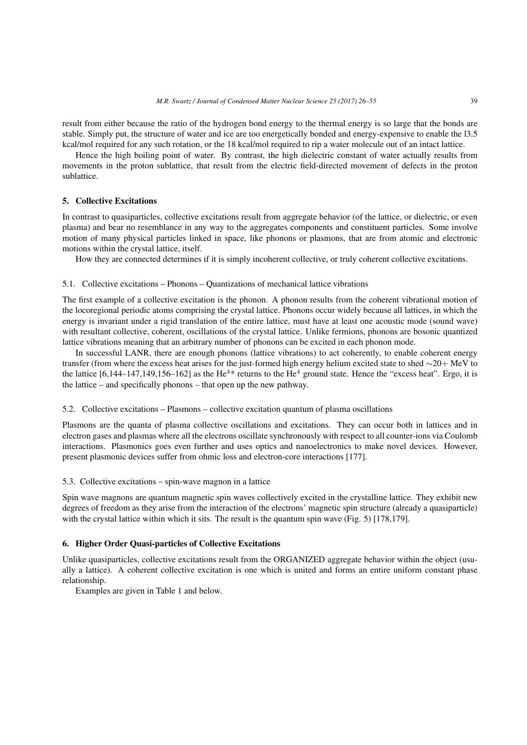result from either because the ratio of the hydrogen bond energy to the thermal energy is so large that the bonds are stable. Simply put, the structure of water and ice are too energetically bonded and energy-expensive to enable the l3.5 kcal/mol required for any such rotation, or the 18 kcal/mol required to rip a water molecule out of an intact lattice.

Hence the high boiling point of water. By contrast, the high dielectric constant of water actually results from movements in the proton sublattice, that result from the electric field-directed movement of defects in the proton sublattice.

## 5. Collective Excitations

In contrast to quasiparticles, collective excitations result from aggregate behavior (of the lattice, or dielectric, or even plasma) and bear no resemblance in any way to the aggregates components and constituent particles. Some involve motion of many physical particles linked in space, like phonons or plasmons, that are from atomic and electronic motions within the crystal lattice, itself.

How they are connected determines if it is simply incoherent collective, or truly coherent collective excitations.

#### 5.1. Collective excitations – Phonons – Quantizations of mechanical lattice vibrations

The first example of a collective excitation is the phonon. A phonon results from the coherent vibrational motion of the locoregional periodic atoms comprising the crystal lattice. Phonons occur widely because all lattices, in which the energy is invariant under a rigid translation of the entire lattice, must have at least one acoustic mode (sound wave) with resultant collective, coherent, oscillations of the crystal lattice. Unlike fermions, phonons are bosonic quantized lattice vibrations meaning that an arbitrary number of phonons can be excited in each phonon mode.

In successful LANR, there are enough phonons (lattice vibrations) to act coherently, to enable coherent energy transfer (from where the excess heat arises for the just-formed high energy helium excited state to shed *∼*20+ MeV to the lattice  $[6,144-147,149,156-162]$  as the He<sup>4\*</sup> returns to the He<sup>4</sup> ground state. Hence the "excess heat". Ergo, it is the lattice – and specifically phonons – that open up the new pathway.

#### 5.2. Collective excitations – Plasmons – collective excitation quantum of plasma oscillations

Plasmons are the quanta of plasma collective oscillations and excitations. They can occur both in lattices and in electron gases and plasmas where all the electrons oscillate synchronously with respect to all counter-ions via Coulomb interactions. Plasmonics goes even further and uses optics and nanoelectronics to make novel devices. However, present plasmonic devices suffer from ohmic loss and electron-core interactions [177].

#### 5.3. Collective excitations – spin-wave magnon in a lattice

Spin wave magnons are quantum magnetic spin waves collectively excited in the crystalline lattice. They exhibit new degrees of freedom as they arise from the interaction of the electrons' magnetic spin structure (already a quasiparticle) with the crystal lattice within which it sits. The result is the quantum spin wave (Fig. 5) [178,179].

## 6. Higher Order Quasi-particles of Collective Excitations

Unlike quasiparticles, collective excitations result from the ORGANIZED aggregate behavior within the object (usually a lattice). A coherent collective excitation is one which is united and forms an entire uniform constant phase relationship.

Examples are given in Table 1 and below.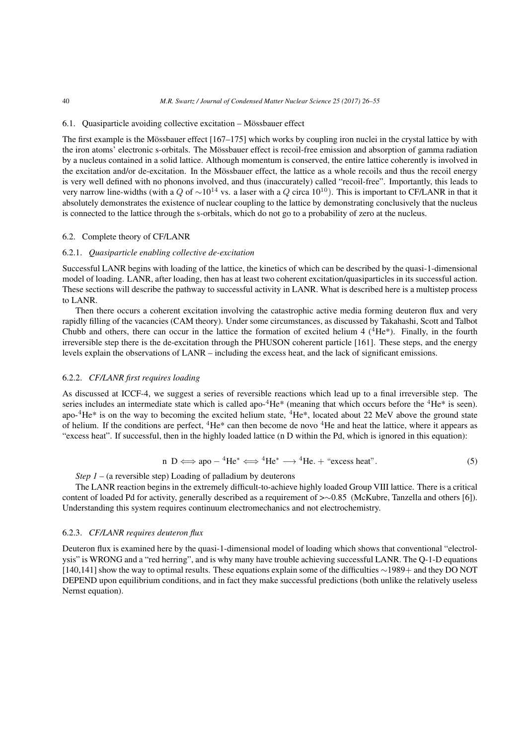## 6.1. Quasiparticle avoiding collective excitation – Mössbauer effect

The first example is the Mössbauer effect [167–175] which works by coupling iron nuclei in the crystal lattice by with the iron atoms' electronic s-orbitals. The Mössbauer effect is recoil-free emission and absorption of gamma radiation by a nucleus contained in a solid lattice. Although momentum is conserved, the entire lattice coherently is involved in the excitation and/or de-excitation. In the Mössbauer effect, the lattice as a whole recoils and thus the recoil energy is very well defined with no phonons involved, and thus (inaccurately) called "recoil-free". Importantly, this leads to very narrow line-widths (with a *<sup>Q</sup>* of *<sup>∼</sup>*10<sup>14</sup> vs. a laser with a *<sup>Q</sup>* circa 1010). This is important to CF/LANR in that it absolutely demonstrates the existence of nuclear coupling to the lattice by demonstrating conclusively that the nucleus is connected to the lattice through the s-orbitals, which do not go to a probability of zero at the nucleus.

## 6.2. Complete theory of CF/LANR

#### 6.2.1. *Quasiparticle enabling collective de-excitation*

Successful LANR begins with loading of the lattice, the kinetics of which can be described by the quasi-1-dimensional model of loading. LANR, after loading, then has at least two coherent excitation/quasiparticles in its successful action. These sections will describe the pathway to successful activity in LANR. What is described here is a multistep process to LANR.

Then there occurs a coherent excitation involving the catastrophic active media forming deuteron flux and very rapidly filling of the vacancies (CAM theory). Under some circumstances, as discussed by Takahashi, Scott and Talbot Chubb and others, there can occur in the lattice the formation of excited helium 4  $(^{4}He*)$ . Finally, in the fourth irreversible step there is the de-excitation through the PHUSON coherent particle [161]. These steps, and the energy levels explain the observations of LANR – including the excess heat, and the lack of significant emissions.

#### 6.2.2. *CF/LANR first requires loading*

As discussed at ICCF-4, we suggest a series of reversible reactions which lead up to a final irreversible step. The series includes an intermediate state which is called apo- ${}^{4}He^{*}$  (meaning that which occurs before the  ${}^{4}He^{*}$  is seen). apo- ${}^{4}$ He<sup>\*</sup> is on the way to becoming the excited helium state,  ${}^{4}$ He<sup>\*</sup>, located about 22 MeV above the ground state of helium. If the conditions are perfect,  ${}^{4}He*$  can then become de novo  ${}^{4}He$  and heat the lattice, where it appears as "excess heat". If successful, then in the highly loaded lattice (n D within the Pd, which is ignored in this equation):

n D 
$$
\Longleftrightarrow
$$
 apo  $-{}^{4}\text{He}^* \Longleftrightarrow {}^{4}\text{He}^* \longrightarrow {}^{4}\text{He}. + \text{``excess heat".}$  (5)

*Step 1* – (a reversible step) Loading of palladium by deuterons

The LANR reaction begins in the extremely difficult-to-achieve highly loaded Group VIII lattice. There is a critical content of loaded Pd for activity, generally described as a requirement of >*∼*0.85 (McKubre, Tanzella and others [6]). Understanding this system requires continuum electromechanics and not electrochemistry.

### 6.2.3. *CF/LANR requires deuteron flux*

Deuteron flux is examined here by the quasi-1-dimensional model of loading which shows that conventional "electrolysis" is WRONG and a "red herring", and is why many have trouble achieving successful LANR. The Q-1-D equations [140,141] show the way to optimal results. These equations explain some of the difficulties *∼*1989+ and they DO NOT DEPEND upon equilibrium conditions, and in fact they make successful predictions (both unlike the relatively useless Nernst equation).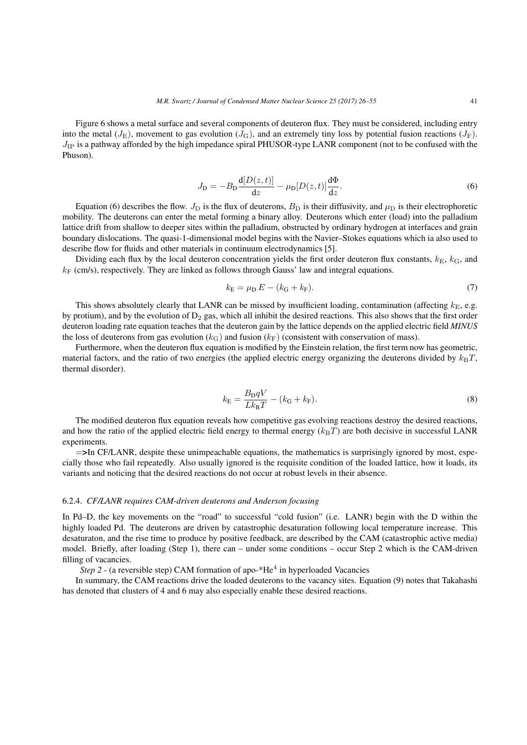Figure 6 shows a metal surface and several components of deuteron flux. They must be considered, including entry into the metal  $(J_E)$ , movement to gas evolution  $(J_G)$ , and an extremely tiny loss by potential fusion reactions  $(J_F)$ . *J*<sub>IP</sub> is a pathway afforded by the high impedance spiral PHUSOR-type LANR component (not to be confused with the Phuson).

$$
J_{\mathcal{D}} = -B_{\mathcal{D}} \frac{\mathbf{d}[D(z,t)]}{dz} - \mu_{\mathcal{D}}[D(z,t)] \frac{\mathbf{d}\Phi}{dz}.
$$
 (6)

Equation (6) describes the flow.  $J_D$  is the flux of deuterons,  $B_D$  is their diffusivity, and  $\mu_D$  is their electrophoretic mobility. The deuterons can enter the metal forming a binary alloy. Deuterons which enter (load) into the palladium lattice drift from shallow to deeper sites within the palladium, obstructed by ordinary hydrogen at interfaces and grain boundary dislocations. The quasi-1-dimensional model begins with the Navier–Stokes equations which ia also used to describe flow for fluids and other materials in continuum electrodynamics [5].

Dividing each flux by the local deuteron concentration yields the first order deuteron flux constants,  $k_{\rm E}$ ,  $k_{\rm G}$ , and  $k_F$  (cm/s), respectively. They are linked as follows through Gauss' law and integral equations.

$$
k_{\rm E} = \mu_{\rm D} E - (k_{\rm G} + k_{\rm F}).\tag{7}
$$

This shows absolutely clearly that LANR can be missed by insufficient loading, contamination (affecting  $k_E$ , e.g. by protium), and by the evolution of  $D_2$  gas, which all inhibit the desired reactions. This also shows that the first order deuteron loading rate equation teaches that the deuteron gain by the lattice depends on the applied electric field *MINUS* the loss of deuterons from gas evolution ( $k_G$ ) and fusion ( $k_F$ ) (consistent with conservation of mass).

Furthermore, when the deuteron flux equation is modified by the Einstein relation, the first term now has geometric, material factors, and the ratio of two energies (the applied electric energy organizing the deuterons divided by  $k_B T$ , thermal disorder).

$$
k_{\rm E} = \frac{B_{\rm D}qV}{Lk_{\rm B}T} - (k_{\rm G} + k_{\rm F}).
$$
\n(8)

The modified deuteron flux equation reveals how competitive gas evolving reactions destroy the desired reactions, and how the ratio of the applied electric field energy to thermal energy  $(k_BT)$  are both decisive in successful LANR experiments.

=>In CF/LANR, despite these unimpeachable equations, the mathematics is surprisingly ignored by most, especially those who fail repeatedly. Also usually ignored is the requisite condition of the loaded lattice, how it loads, its variants and noticing that the desired reactions do not occur at robust levels in their absence.

## 6.2.4. *CF/LANR requires CAM-driven deuterons and Anderson focusing*

In Pd–D, the key movements on the "road" to successful "cold fusion" (i.e. LANR) begin with the D within the highly loaded Pd. The deuterons are driven by catastrophic desaturation following local temperature increase. This desaturaton, and the rise time to produce by positive feedback, are described by the CAM (catastrophic active media) model. Briefly, after loading (Step 1), there can – under some conditions – occur Step 2 which is the CAM-driven filling of vacancies.

Step 2 - (a reversible step) CAM formation of apo-\*He<sup>4</sup> in hyperloaded Vacancies

In summary, the CAM reactions drive the loaded deuterons to the vacancy sites. Equation (9) notes that Takahashi has denoted that clusters of 4 and 6 may also especially enable these desired reactions.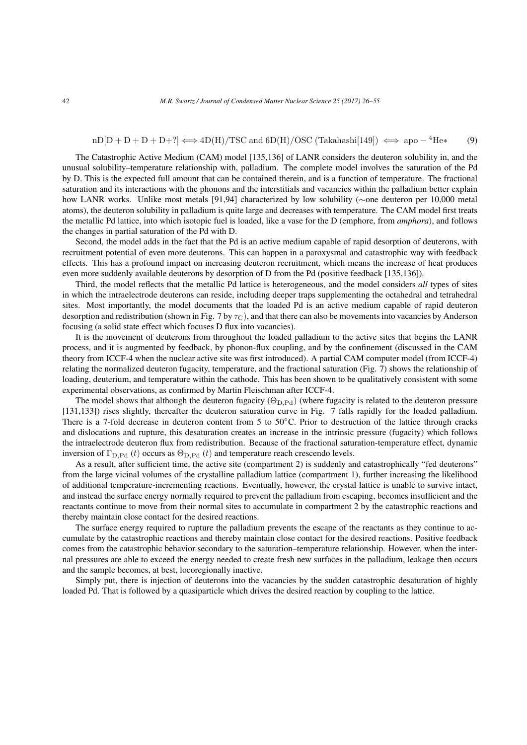$$
nD[D + D + D + P] \iff 4D(H)/TSC \text{ and } 6D(H)/OSC \text{ (Takahashi[149])} \iff apo - {}^{4}He* \tag{9}
$$

The Catastrophic Active Medium (CAM) model [135,136] of LANR considers the deuteron solubility in, and the unusual solubility–temperature relationship with, palladium. The complete model involves the saturation of the Pd by D. This is the expected full amount that can be contained therein, and is a function of temperature. The fractional saturation and its interactions with the phonons and the interstitials and vacancies within the palladium better explain how LANR works. Unlike most metals [91,94] characterized by low solubility (*∼*one deuteron per 10,000 metal atoms), the deuteron solubility in palladium is quite large and decreases with temperature. The CAM model first treats the metallic Pd lattice, into which isotopic fuel is loaded, like a vase for the D (emphore, from *amphora*), and follows the changes in partial saturation of the Pd with D.

Second, the model adds in the fact that the Pd is an active medium capable of rapid desorption of deuterons, with recruitment potential of even more deuterons. This can happen in a paroxysmal and catastrophic way with feedback effects. This has a profound impact on increasing deuteron recruitment, which means the increase of heat produces even more suddenly available deuterons by desorption of D from the Pd (positive feedback [135,136]).

Third, the model reflects that the metallic Pd lattice is heterogeneous, and the model considers *all* types of sites in which the intraelectrode deuterons can reside, including deeper traps supplementing the octahedral and tetrahedral sites. Most importantly, the model documents that the loaded Pd is an active medium capable of rapid deuteron desorption and redistribution (shown in Fig. 7 by *τ*<sub>C</sub>), and that there can also be movements into vacancies by Anderson focusing (a solid state effect which focuses D flux into vacancies).

It is the movement of deuterons from throughout the loaded palladium to the active sites that begins the LANR process, and it is augmented by feedback, by phonon-flux coupling, and by the confinement (discussed in the CAM theory from ICCF-4 when the nuclear active site was first introduced). A partial CAM computer model (from ICCF-4) relating the normalized deuteron fugacity, temperature, and the fractional saturation (Fig. 7) shows the relationship of loading, deuterium, and temperature within the cathode. This has been shown to be qualitatively consistent with some experimental observations, as confirmed by Martin Fleischman after ICCF-4.

The model shows that although the deuteron fugacity (Θ<sub>D,Pd</sub>) (where fugacity is related to the deuteron pressure [131,133]) rises slightly, thereafter the deuteron saturation curve in Fig. 7 falls rapidly for the loaded palladium. There is a 7-fold decrease in deuteron content from 5 to 50*◦*C. Prior to destruction of the lattice through cracks and dislocations and rupture, this desaturation creates an increase in the intrinsic pressure (fugacity) which follows the intraelectrode deuteron flux from redistribution. Because of the fractional saturation-temperature effect, dynamic inversion of  $\Gamma_{\text{D},\text{Pd}}(t)$  occurs as  $\Theta_{\text{D},\text{Pd}}(t)$  and temperature reach crescendo levels.

As a result, after sufficient time, the active site (compartment 2) is suddenly and catastrophically "fed deuterons" from the large vicinal volumes of the crystalline palladium lattice (compartment 1), further increasing the likelihood of additional temperature-incrementing reactions. Eventually, however, the crystal lattice is unable to survive intact, and instead the surface energy normally required to prevent the palladium from escaping, becomes insufficient and the reactants continue to move from their normal sites to accumulate in compartment 2 by the catastrophic reactions and thereby maintain close contact for the desired reactions.

The surface energy required to rupture the palladium prevents the escape of the reactants as they continue to accumulate by the catastrophic reactions and thereby maintain close contact for the desired reactions. Positive feedback comes from the catastrophic behavior secondary to the saturation–temperature relationship. However, when the internal pressures are able to exceed the energy needed to create fresh new surfaces in the palladium, leakage then occurs and the sample becomes, at best, locoregionally inactive.

Simply put, there is injection of deuterons into the vacancies by the sudden catastrophic desaturation of highly loaded Pd. That is followed by a quasiparticle which drives the desired reaction by coupling to the lattice.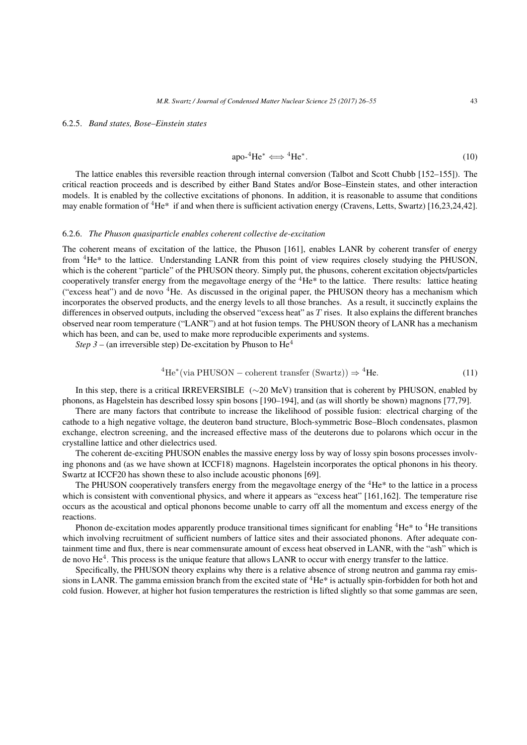#### 6.2.5. *Band states, Bose–Einstein states*

$$
apo^{-4}He^* \Longleftrightarrow {}^4He^*.
$$
 (10)

The lattice enables this reversible reaction through internal conversion (Talbot and Scott Chubb [152–155]). The critical reaction proceeds and is described by either Band States and/or Bose–Einstein states, and other interaction models. It is enabled by the collective excitations of phonons. In addition, it is reasonable to assume that conditions may enable formation of <sup>4</sup>He<sup>\*</sup> if and when there is sufficient activation energy (Cravens, Letts, Swartz) [16,23,24,42].

#### 6.2.6. *The Phuson quasiparticle enables coherent collective de-excitation*

The coherent means of excitation of the lattice, the Phuson [161], enables LANR by coherent transfer of energy from <sup>4</sup>He\* to the lattice. Understanding LANR from this point of view requires closely studying the PHUSON, which is the coherent "particle" of the PHUSON theory. Simply put, the phusons, coherent excitation objects/particles cooperatively transfer energy from the megavoltage energy of the  ${}^{4}$ He ${}^{*}$  to the lattice. There results: lattice heating ("excess heat") and de novo <sup>4</sup>He. As discussed in the original paper, the PHUSON theory has a mechanism which incorporates the observed products, and the energy levels to all those branches. As a result, it succinctly explains the differences in observed outputs, including the observed "excess heat" as *T* rises. It also explains the different branches observed near room temperature ("LANR") and at hot fusion temps. The PHUSON theory of LANR has a mechanism which has been, and can be, used to make more reproducible experiments and systems.

*Step 3* – (an irreversible step) De-excitation by Phuson to  $He<sup>4</sup>$ 

<sup>4</sup>He<sup>\*</sup>(via PHUSON – coherent transfer (Swartz)) 
$$
\Rightarrow
$$
 <sup>4</sup>He. (11)

In this step, there is a critical IRREVERSIBLE (*∼*20 MeV) transition that is coherent by PHUSON, enabled by phonons, as Hagelstein has described lossy spin bosons [190–194], and (as will shortly be shown) magnons [77,79].

There are many factors that contribute to increase the likelihood of possible fusion: electrical charging of the cathode to a high negative voltage, the deuteron band structure, Bloch-symmetric Bose–Bloch condensates, plasmon exchange, electron screening, and the increased effective mass of the deuterons due to polarons which occur in the crystalline lattice and other dielectrics used.

The coherent de-exciting PHUSON enables the massive energy loss by way of lossy spin bosons processes involving phonons and (as we have shown at ICCF18) magnons. Hagelstein incorporates the optical phonons in his theory. Swartz at ICCF20 has shown these to also include acoustic phonons [69].

The PHUSON cooperatively transfers energy from the megavoltage energy of the  ${}^{4}$ He ${}^{*}$  to the lattice in a process which is consistent with conventional physics, and where it appears as "excess heat" [161,162]. The temperature rise occurs as the acoustical and optical phonons become unable to carry off all the momentum and excess energy of the reactions.

Phonon de-excitation modes apparently produce transitional times significant for enabling  ${}^{4}He^{*}$  to  ${}^{4}He$  transitions which involving recruitment of sufficient numbers of lattice sites and their associated phonons. After adequate containment time and flux, there is near commensurate amount of excess heat observed in LANR, with the "ash" which is de novo He<sup>4</sup>. This process is the unique feature that allows LANR to occur with energy transfer to the lattice.

Specifically, the PHUSON theory explains why there is a relative absence of strong neutron and gamma ray emissions in LANR. The gamma emission branch from the excited state of  ${}^{4}$ He<sup>\*</sup> is actually spin-forbidden for both hot and cold fusion. However, at higher hot fusion temperatures the restriction is lifted slightly so that some gammas are seen,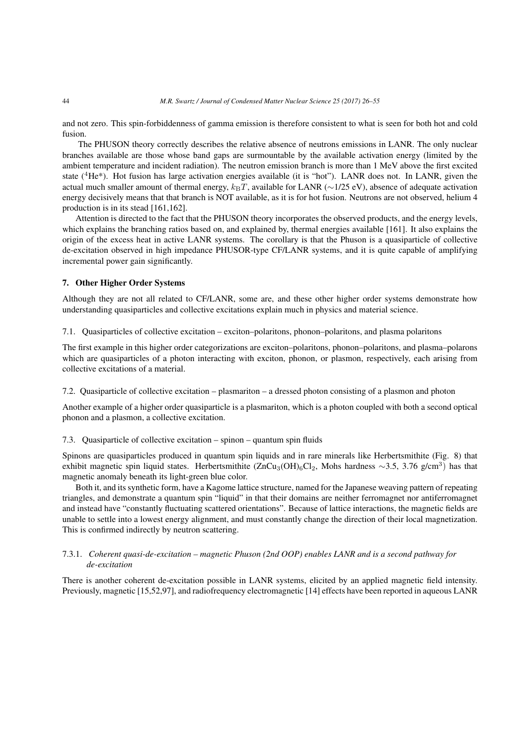and not zero. This spin-forbiddenness of gamma emission is therefore consistent to what is seen for both hot and cold fusion.

The PHUSON theory correctly describes the relative absence of neutrons emissions in LANR. The only nuclear branches available are those whose band gaps are surmountable by the available activation energy (limited by the ambient temperature and incident radiation). The neutron emission branch is more than 1 MeV above the first excited state ( ${}^{4}$ He<sup>\*</sup>). Hot fusion has large activation energies available (it is "hot"). LANR does not. In LANR, given the actual much smaller amount of thermal energy,  $k_BT$ , available for LANR ( $\sim$ 1/25 eV), absence of adequate activation energy decisively means that that branch is NOT available, as it is for hot fusion. Neutrons are not observed, helium 4 production is in its stead [161,162].

Attention is directed to the fact that the PHUSON theory incorporates the observed products, and the energy levels, which explains the branching ratios based on, and explained by, thermal energies available [161]. It also explains the origin of the excess heat in active LANR systems. The corollary is that the Phuson is a quasiparticle of collective de-excitation observed in high impedance PHUSOR-type CF/LANR systems, and it is quite capable of amplifying incremental power gain significantly.

## 7. Other Higher Order Systems

Although they are not all related to CF/LANR, some are, and these other higher order systems demonstrate how understanding quasiparticles and collective excitations explain much in physics and material science.

7.1. Quasiparticles of collective excitation – exciton–polaritons, phonon–polaritons, and plasma polaritons

The first example in this higher order categorizations are exciton–polaritons, phonon–polaritons, and plasma–polarons which are quasiparticles of a photon interacting with exciton, phonon, or plasmon, respectively, each arising from collective excitations of a material.

7.2. Quasiparticle of collective excitation – plasmariton – a dressed photon consisting of a plasmon and photon

Another example of a higher order quasiparticle is a plasmariton, which is a photon coupled with both a second optical phonon and a plasmon, a collective excitation.

## 7.3. Quasiparticle of collective excitation – spinon – quantum spin fluids

Spinons are quasiparticles produced in quantum spin liquids and in rare minerals like Herbertsmithite (Fig. 8) that exhibit magnetic spin liquid states. Herbertsmithite (ZnCu<sub>3</sub>(OH)<sub>6</sub>Cl<sub>2</sub>, Mohs hardness ~3.5, 3.76 g/cm<sup>3</sup>) has that magnetic anomaly beneath its light-green blue color.

Both it, and its synthetic form, have a Kagome lattice structure, named for the Japanese weaving pattern of repeating triangles, and demonstrate a quantum spin "liquid" in that their domains are neither ferromagnet nor antiferromagnet and instead have "constantly fluctuating scattered orientations". Because of lattice interactions, the magnetic fields are unable to settle into a lowest energy alignment, and must constantly change the direction of their local magnetization. This is confirmed indirectly by neutron scattering.

## 7.3.1. *Coherent quasi-de-excitation – magnetic Phuson (2nd OOP) enables LANR and is a second pathway for de-excitation*

There is another coherent de-excitation possible in LANR systems, elicited by an applied magnetic field intensity. Previously, magnetic [15,52,97], and radiofrequency electromagnetic [14] effects have been reported in aqueous LANR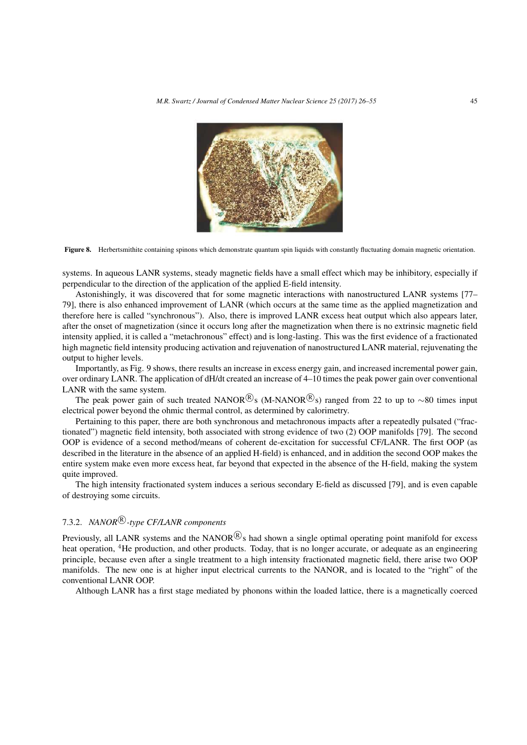

Figure 8. Herbertsmithite containing spinons which demonstrate quantum spin liquids with constantly fluctuating domain magnetic orientation.

systems. In aqueous LANR systems, steady magnetic fields have a small effect which may be inhibitory, especially if perpendicular to the direction of the application of the applied E-field intensity.

Astonishingly, it was discovered that for some magnetic interactions with nanostructured LANR systems [77– 79], there is also enhanced improvement of LANR (which occurs at the same time as the applied magnetization and therefore here is called "synchronous"). Also, there is improved LANR excess heat output which also appears later, after the onset of magnetization (since it occurs long after the magnetization when there is no extrinsic magnetic field intensity applied, it is called a "metachronous" effect) and is long-lasting. This was the first evidence of a fractionated high magnetic field intensity producing activation and rejuvenation of nanostructured LANR material, rejuvenating the output to higher levels.

Importantly, as Fig. 9 shows, there results an increase in excess energy gain, and increased incremental power gain, over ordinary LANR. The application of dH/dt created an increase of 4–10 times the peak power gain over conventional LANR with the same system.

The peak power gain of such treated NANOR<sup>(R)</sup><sub>S</sub> (M-NANOR<sup>(R)</sup><sub>S</sub>) ranged from 22 to up to ~80 times input electrical power beyond the ohmic thermal control, as determined by calorimetry.

Pertaining to this paper, there are both synchronous and metachronous impacts after a repeatedly pulsated ("fractionated") magnetic field intensity, both associated with strong evidence of two (2) OOP manifolds [79]. The second OOP is evidence of a second method/means of coherent de-excitation for successful CF/LANR. The first OOP (as described in the literature in the absence of an applied H-field) is enhanced, and in addition the second OOP makes the entire system make even more excess heat, far beyond that expected in the absence of the H-field, making the system quite improved.

The high intensity fractionated system induces a serious secondary E-field as discussed [79], and is even capable of destroying some circuits.

# 7.3.2. *NANOR*<sup>(R)</sup>-type CF/LANR components

Previously, all LANR systems and the NANOR<sup>(R)</sup>s had shown a single optimal operating point manifold for excess heat operation, <sup>4</sup>He production, and other products. Today, that is no longer accurate, or adequate as an engineering principle, because even after a single treatment to a high intensity fractionated magnetic field, there arise two OOP manifolds. The new one is at higher input electrical currents to the NANOR, and is located to the "right" of the conventional LANR OOP.

Although LANR has a first stage mediated by phonons within the loaded lattice, there is a magnetically coerced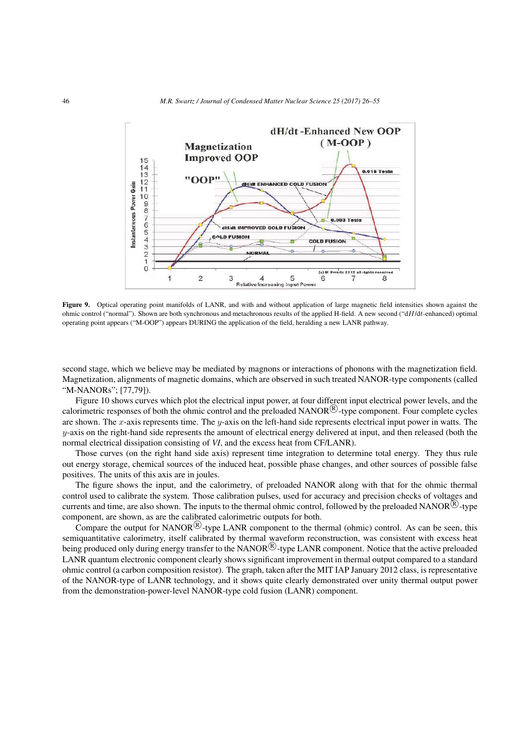

Figure 9. Optical operating point manifolds of LANR, and with and without application of large magnetic field intensities shown against the ohmic control ("normal"). Shown are both synchronous and metachronous results of the applied H-field. A new second ("d*H*/d*t*-enhanced) optimal operating point appears ("M-OOP") appears DURING the application of the field, heralding a new LANR pathway.

second stage, which we believe may be mediated by magnons or interactions of phonons with the magnetization field. Magnetization, alignments of magnetic domains, which are observed in such treated NANOR-type components (called "M-NANORs"; [77,79]).

Figure 10 shows curves which plot the electrical input power, at four different input electrical power levels, and the calorimetric responses of both the ohmic control and the preloaded NANOR<sup>(R)</sup>-type component. Four complete cycles are shown. The *x*-axis represents time. The *y*-axis on the left-hand side represents electrical input power in watts. The  $y$ -axis on the right-hand side represents the amount of electrical energy delivered at input, and then released (both the normal electrical dissipation consisting of *VI*, and the excess heat from CF/LANR).

Those curves (on the right hand side axis) represent time integration to determine total energy. They thus rule out energy storage, chemical sources of the induced heat, possible phase changes, and other sources of possible false positives. The units of this axis are in joules.

The figure shows the input, and the calorimetry, of preloaded NANOR along with that for the ohmic thermal control used to calibrate the system. Those calibration pulses, used for accuracy and precision checks of voltages and currents and time, are also shown. The inputs to the thermal ohmic control, followed by the preloaded NANOR<sup>(R)</sup>-type component, are shown, as are the calibrated calorimetric outputs for both.

Compare the output for NANOR<sup>(R)</sup>-type LANR component to the thermal (ohmic) control. As can be seen, this semiquantitative calorimetry, itself calibrated by thermal waveform reconstruction, was consistent with excess heat being produced only during energy transfer to the NANOR<sup>(R)</sup>-type LANR component. Notice that the active preloaded LANR quantum electronic component clearly shows significant improvement in thermal output compared to a standard ohmic control (a carbon composition resistor). The graph, taken after the MIT IAP January 2012 class, is representative of the NANOR-type of LANR technology, and it shows quite clearly demonstrated over unity thermal output power from the demonstration-power-level NANOR-type cold fusion (LANR) component.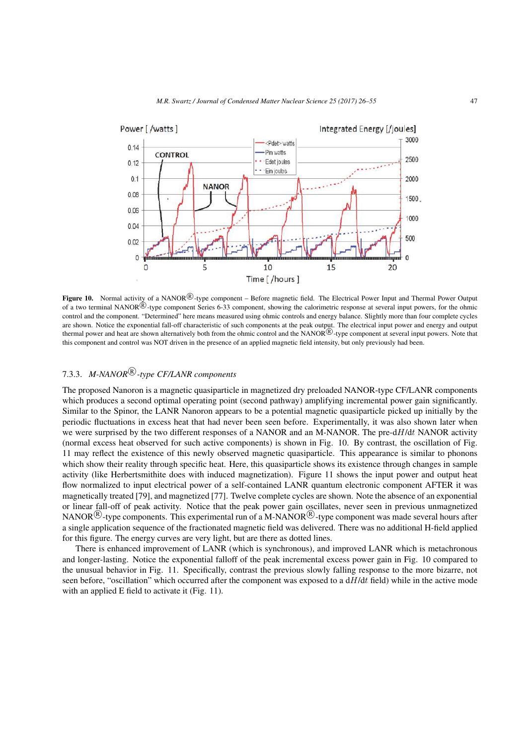

Figure 10. Normal activity of a NANOR<sup>®</sup>-type component – Before magnetic field. The Electrical Power Input and Thermal Power Output of a two terminal NANOR<sup>®</sup>-type component Series 6-33 component, showing the calorimetric response at several input powers, for the ohmic control and the component. "Determined" here means measured using ohmic controls and energy balance. Slightly more than four complete cycles are shown. Notice the exponential fall-off characteristic of such components at the peak output. The electrical input power and energy and output thermal power and heat are shown alternatively both from the ohmic control and the NANOR<sup>®</sup>-type component at several input powers. Note that this component and control was NOT driven in the presence of an applied magnetic field intensity, but only previously had been.

# 7.3.3. M-NANOR<sup>(R)</sup>-type CF/LANR components

The proposed Nanoron is a magnetic quasiparticle in magnetized dry preloaded NANOR-type CF/LANR components which produces a second optimal operating point (second pathway) amplifying incremental power gain significantly. Similar to the Spinor, the LANR Nanoron appears to be a potential magnetic quasiparticle picked up initially by the periodic fluctuations in excess heat that had never been seen before. Experimentally, it was also shown later when we were surprised by the two different responses of a NANOR and an M-NANOR. The pre-d*H*/d*t* NANOR activity (normal excess heat observed for such active components) is shown in Fig. 10. By contrast, the oscillation of Fig. 11 may reflect the existence of this newly observed magnetic quasiparticle. This appearance is similar to phonons which show their reality through specific heat. Here, this quasiparticle shows its existence through changes in sample activity (like Herbertsmithite does with induced magnetization). Figure 11 shows the input power and output heat flow normalized to input electrical power of a self-contained LANR quantum electronic component AFTER it was magnetically treated [79], and magnetized [77]. Twelve complete cycles are shown. Note the absence of an exponential or linear fall-off of peak activity. Notice that the peak power gain oscillates, never seen in previous unmagnetized NANOR<sup>(B)</sup>-type components. This experimental run of a M-NANOR<sup>(B)</sup>-type component was made several hours after a single application sequence of the fractionated magnetic field was delivered. There was no additional H-field applied for this figure. The energy curves are very light, but are there as dotted lines.

There is enhanced improvement of LANR (which is synchronous), and improved LANR which is metachronous and longer-lasting. Notice the exponential falloff of the peak incremental excess power gain in Fig. 10 compared to the unusual behavior in Fig. 11. Specifically, contrast the previous slowly falling response to the more bizarre, not seen before, "oscillation" which occurred after the component was exposed to a d*H*/d*t* field) while in the active mode with an applied E field to activate it (Fig. 11).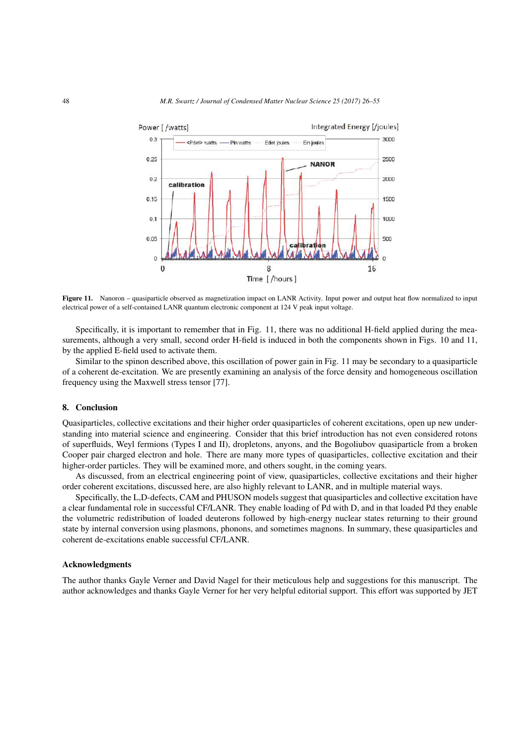

Figure 11. Nanoron – quasiparticle observed as magnetization impact on LANR Activity. Input power and output heat flow normalized to input electrical power of a self-contained LANR quantum electronic component at 124 V peak input voltage.

Specifically, it is important to remember that in Fig. 11, there was no additional H-field applied during the measurements, although a very small, second order H-field is induced in both the components shown in Figs. 10 and 11, by the applied E-field used to activate them.

Similar to the spinon described above, this oscillation of power gain in Fig. 11 may be secondary to a quasiparticle of a coherent de-excitation. We are presently examining an analysis of the force density and homogeneous oscillation frequency using the Maxwell stress tensor [77].

#### 8. Conclusion

Quasiparticles, collective excitations and their higher order quasiparticles of coherent excitations, open up new understanding into material science and engineering. Consider that this brief introduction has not even considered rotons of superfluids, Weyl fermions (Types I and II), dropletons, anyons, and the Bogoliubov quasiparticle from a broken Cooper pair charged electron and hole. There are many more types of quasiparticles, collective excitation and their higher-order particles. They will be examined more, and others sought, in the coming years.

As discussed, from an electrical engineering point of view, quasiparticles, collective excitations and their higher order coherent excitations, discussed here, are also highly relevant to LANR, and in multiple material ways.

Specifically, the L,D-defects, CAM and PHUSON models suggest that quasiparticles and collective excitation have a clear fundamental role in successful CF/LANR. They enable loading of Pd with D, and in that loaded Pd they enable the volumetric redistribution of loaded deuterons followed by high-energy nuclear states returning to their ground state by internal conversion using plasmons, phonons, and sometimes magnons. In summary, these quasiparticles and coherent de-excitations enable successful CF/LANR.

## Acknowledgments

The author thanks Gayle Verner and David Nagel for their meticulous help and suggestions for this manuscript. The author acknowledges and thanks Gayle Verner for her very helpful editorial support. This effort was supported by JET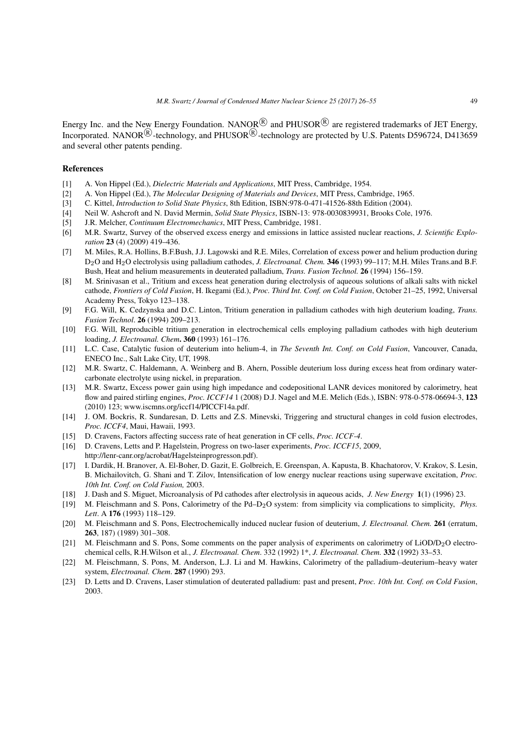Energy Inc. and the New Energy Foundation. NANOR<sup>(R)</sup> and PHUSOR<sup>(R)</sup> are registered trademarks of JET Energy, Incorporated. NANOR<sup>(R)</sup>-technology, and PHUSOR<sup>(R)</sup>-technology are protected by U.S. Patents D596724, D413659 and several other patents pending.

## References

- [1] A. Von Hippel (Ed.), *Dielectric Materials and Applications*, MIT Press, Cambridge, 1954.
- [2] A. Von Hippel (Ed.), *The Molecular Designing of Materials and Devices*, MIT Press, Cambridge, 1965.
- [3] C. Kittel, *Introduction to Solid State Physics*, 8th Edition, ISBN:978-0-471-41526-88th Edition (2004).
- [4] Neil W. Ashcroft and N. David Mermin, *Solid State Physics*, ISBN-13: 978-0030839931, Brooks Cole, 1976.
- [5] J.R. Melcher, *Continuum Electromechanics*, MIT Press, Cambridge, 1981.
- [6] M.R. Swartz, Survey of the observed excess energy and emissions in lattice assisted nuclear reactions, *J. Scientific Exploration* 23 (4) (2009) 419–436.
- [7] M. Miles, R.A. Hollins, B.F.Bush, J.J. Lagowski and R.E. Miles, Correlation of excess power and helium production during D<sub>2</sub>O and H<sub>2</sub>O electrolysis using palladium cathodes, *J. Electroanal. Chem.* **346** (1993) 99–117; M.H. Miles Trans.and B.F. Bush, Heat and helium measurements in deuterated palladium, *Trans. Fusion Technol.* 26 (1994) 156–159.
- [8] M. Srinivasan et al., Tritium and excess heat generation during electrolysis of aqueous solutions of alkali salts with nickel cathode, *Frontiers of Cold Fusion*, H. Ikegami (Ed.), *Proc. Third Int. Conf. on Cold Fusion*, October 21–25, 1992, Universal Academy Press, Tokyo 123–138.
- [9] F.G. Will, K. Cedzynska and D.C. Linton, Tritium generation in palladium cathodes with high deuterium loading, *Trans. Fusion Technol*. 26 (1994) 209–213.
- [10] F.G. Will, Reproducible tritium generation in electrochemical cells employing palladium cathodes with high deuterium loading, *J. Electroanal. Chem*. 360 (1993) 161–176.
- [11] L.C. Case, Catalytic fusion of deuterium into helium-4, in *The Seventh Int. Conf. on Cold Fusion*, Vancouver, Canada, ENECO Inc., Salt Lake City, UT, 1998.
- [12] M.R. Swartz, C. Haldemann, A. Weinberg and B. Ahern, Possible deuterium loss during excess heat from ordinary watercarbonate electrolyte using nickel, in preparation.
- [13] M.R. Swartz, Excess power gain using high impedance and codepositional LANR devices monitored by calorimetry, heat flow and paired stirling engines, *Proc. ICCF14* 1 (2008) D.J. Nagel and M.E. Melich (Eds.), ISBN: 978-0-578-06694-3, 123 (2010) 123; www.iscmns.org/iccf14/PICCF14a.pdf.
- [14] J. OM. Bockris, R. Sundaresan, D. Letts and Z.S. Minevski, Triggering and structural changes in cold fusion electrodes, *Proc. ICCF4*, Maui, Hawaii, 1993.
- [15] D. Cravens, Factors affecting success rate of heat generation in CF cells, *Proc. ICCF-4*.
- [16] D. Cravens, Letts and P. Hagelstein, Progress on two-laser experiments, *Proc. ICCF15*, 2009, http://lenr-canr.org/acrobat/Hagelsteinprogresson.pdf).
- [17] I. Dardik, H. Branover, A. El-Boher, D. Gazit, E. Golbreich, E. Greenspan, A. Kapusta, B. Khachatorov, V. Krakov, S. Lesin, B. Michailovitch, G. Shani and T. Zilov, Intensification of low energy nuclear reactions using superwave excitation, *Proc. 10th Int. Conf. on Cold Fusion,* 2003.
- [18] J. Dash and S. Miguet, Microanalysis of Pd cathodes after electrolysis in aqueous acids, *J. New Energy* 1(1) (1996) 23.
- [19] M. Fleischmann and S. Pons, Calorimetry of the Pd–D2O system: from simplicity via complications to simplicity, *Phys. Lett*. A 176 (1993) 118–129.
- [20] M. Fleischmann and S. Pons, Electrochemically induced nuclear fusion of deuterium, *J. Electroanal. Chem.* 261 (erratum, 263, 187) (1989) 301–308.
- [21] M. Fleischmann and S. Pons, Some comments on the paper analysis of experiments on calorimetry of  $LiOD/D<sub>2</sub>O$  electrochemical cells, R.H.Wilson et al., *J. Electroanal. Chem*. 332 (1992) 1\*, *J. Electroanal. Chem.* 332 (1992) 33–53.
- [22] M. Fleischmann, S. Pons, M. Anderson, L.J. Li and M. Hawkins, Calorimetry of the palladium–deuterium–heavy water system, *Electroanal. Chem*. 287 (1990) 293.
- [23] D. Letts and D. Cravens, Laser stimulation of deuterated palladium: past and present, *Proc. 10th Int. Conf. on Cold Fusion*, 2003.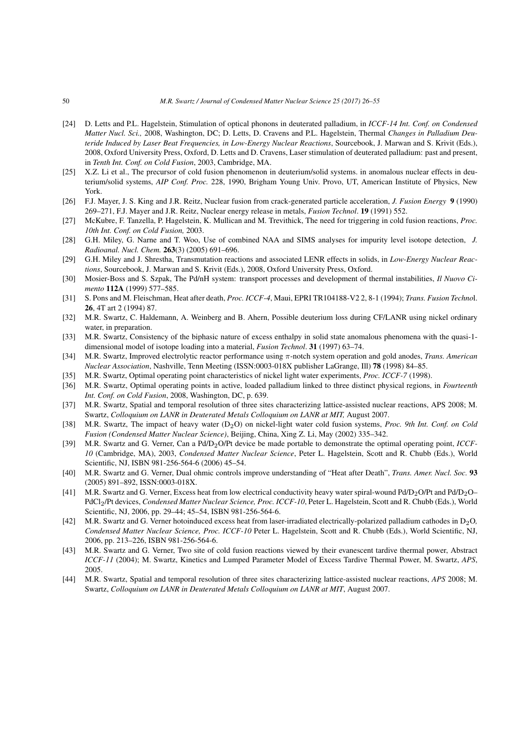- [24] D. Letts and P.L. Hagelstein, Stimulation of optical phonons in deuterated palladium, in *ICCF-14 Int. Conf. on Condensed Matter Nucl. Sci.,* 2008, Washington, DC; D. Letts, D. Cravens and P.L. Hagelstein, Thermal *Changes in Palladium Deuteride Induced by Laser Beat Frequencies, in Low-Energy Nuclear Reactions*, Sourcebook, J. Marwan and S. Krivit (Eds.), 2008, Oxford University Press, Oxford, D. Letts and D. Cravens, Laser stimulation of deuterated palladium: past and present, in *Tenth Int. Conf. on Cold Fusion*, 2003, Cambridge, MA.
- [25] X.Z. Li et al., The precursor of cold fusion phenomenon in deuterium/solid systems. in anomalous nuclear effects in deuterium/solid systems, *AIP Conf. Proc.* 228, 1990, Brigham Young Univ. Provo, UT, American Institute of Physics, New York.
- [26] F.J. Mayer, J. S. King and J.R. Reitz, Nuclear fusion from crack-generated particle acceleration, *J. Fusion Energy* 9 (1990) 269–271, F.J. Mayer and J.R. Reitz, Nuclear energy release in metals, *Fusion Technol*. 19 (1991) 552.
- [27] McKubre, F. Tanzella, P. Hagelstein, K. Mullican and M. Trevithick, The need for triggering in cold fusion reactions, *Proc. 10th Int. Conf. on Cold Fusion,* 2003.
- [28] G.H. Miley, G. Narne and T. Woo, Use of combined NAA and SIMS analyses for impurity level isotope detection, *J. Radioanal. Nucl. Chem.* 263(3) (2005) 691–696.
- [29] G.H. Miley and J. Shrestha, Transmutation reactions and associated LENR effects in solids, in *Low-Energy Nuclear Reactions*, Sourcebook, J. Marwan and S. Krivit (Eds.), 2008, Oxford University Press, Oxford.
- [30] Mosier-Boss and S. Szpak, The Pd/nH system: transport processes and development of thermal instabilities, *Il Nuovo Cimento* 112A (1999) 577–585.
- [31] S. Pons and M. Fleischman, Heat after death, *Proc. ICCF-4*, Maui, EPRI TR104188-V2 2, 8-1 (1994); *Trans. Fusion Techno*l. 26, 4T art 2 (1994) 87.
- [32] M.R. Swartz, C. Haldemann, A. Weinberg and B. Ahern, Possible deuterium loss during CF/LANR using nickel ordinary water, in preparation.
- [33] M.R. Swartz, Consistency of the biphasic nature of excess enthalpy in solid state anomalous phenomena with the quasi-1 dimensional model of isotope loading into a material, *Fusion Technol*. 31 (1997) 63–74.
- [34] M.R. Swartz, Improved electrolytic reactor performance using *π*-notch system operation and gold anodes, *Trans. American Nuclear Association*, Nashville, Tenn Meeting (ISSN:0003-018X publisher LaGrange, Ill) 78 (1998) 84–85.
- [35] M.R. Swartz, Optimal operating point characteristics of nickel light water experiments, *Proc. ICCF-7* (1998).
- [36] M.R. Swartz, Optimal operating points in active, loaded palladium linked to three distinct physical regions, in *Fourteenth Int. Conf. on Cold Fusion*, 2008, Washington, DC, p. 639.
- [37] M.R. Swartz, Spatial and temporal resolution of three sites characterizing lattice-assisted nuclear reactions, APS 2008; M. Swartz, *Colloquium on LANR in Deuterated Metals Colloquium on LANR at MIT,* August 2007.
- [38] M.R. Swartz, The impact of heavy water (D2O) on nickel-light water cold fusion systems, *Proc. 9th Int. Conf. on Cold Fusion (Condensed Matter Nuclear Science)*, Beijing, China, Xing Z. Li, May (2002) 335–342.
- [39] M.R. Swartz and G. Verner, Can a Pd/D2O/Pt device be made portable to demonstrate the optimal operating point, *ICCF-10* (Cambridge, MA), 2003, *Condensed Matter Nuclear Science*, Peter L. Hagelstein, Scott and R. Chubb (Eds.), World Scientific, NJ, ISBN 981-256-564-6 (2006) 45–54.
- [40] M.R. Swartz and G. Verner, Dual ohmic controls improve understanding of "Heat after Death", *Trans. Amer. Nucl. Soc.* 93 (2005) 891–892, ISSN:0003-018X.
- [41] M.R. Swartz and G. Verner, Excess heat from low electrical conductivity heavy water spiral-wound Pd/D<sub>2</sub>O/Pt and Pd/D<sub>2</sub>O– PdCl2/Pt devices, *Condensed Matter Nuclear Science, Proc. ICCF-10*, Peter L. Hagelstein, Scott and R. Chubb (Eds.), World Scientific, NJ, 2006, pp. 29–44; 45–54, ISBN 981-256-564-6.
- [42] M.R. Swartz and G. Verner hotoinduced excess heat from laser-irradiated electrically-polarized palladium cathodes in  $D_2O$ , *Condensed Matter Nuclear Science, Proc. ICCF-10* Peter L. Hagelstein, Scott and R. Chubb (Eds.), World Scientific, NJ, 2006, pp. 213–226, ISBN 981-256-564-6.
- [43] M.R. Swartz and G. Verner, Two site of cold fusion reactions viewed by their evanescent tardive thermal power, Abstract *ICCF-11* (2004); M. Swartz, Kinetics and Lumped Parameter Model of Excess Tardive Thermal Power, M. Swartz, *APS*, 2005.
- [44] M.R. Swartz, Spatial and temporal resolution of three sites characterizing lattice-assisted nuclear reactions, *APS* 2008; M. Swartz, *Colloquium on LANR in Deuterated Metals Colloquium on LANR at MIT*, August 2007.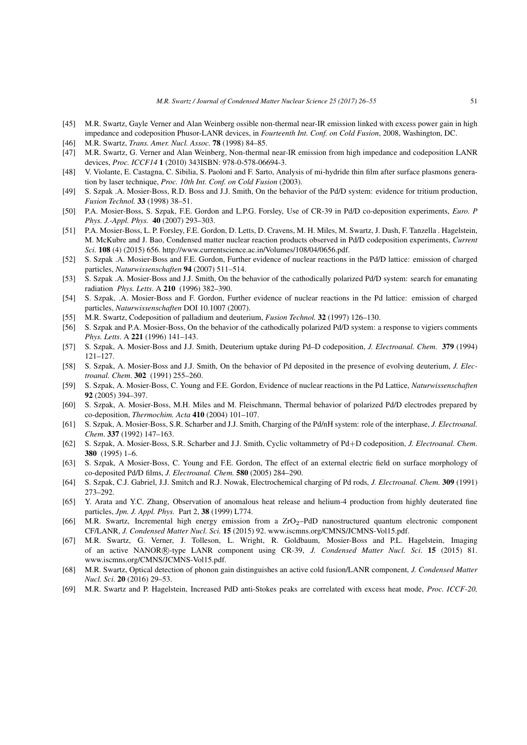- [45] M.R. Swartz, Gayle Verner and Alan Weinberg ossible non-thermal near-IR emission linked with excess power gain in high impedance and codeposition Phusor-LANR devices, in *Fourteenth Int. Conf. on Cold Fusion*, 2008, Washington, DC.
- [46] M.R. Swartz, *Trans. Amer. Nucl. Assoc.* 78 (1998) 84–85.
- [47] M.R. Swartz, G. Verner and Alan Weinberg, Non-thermal near-IR emission from high impedance and codeposition LANR devices, *Proc. ICCF14* 1 (2010) 343ISBN: 978-0-578-06694-3.
- [48] V. Violante, E. Castagna, C. Sibilia, S. Paoloni and F. Sarto, Analysis of mi-hydride thin film after surface plasmons generation by laser technique, *Proc. 10th Int. Conf. on Cold Fusion* (2003).
- [49] S. Szpak .A. Mosier-Boss, R.D. Boss and J.J. Smith, On the behavior of the Pd/D system: evidence for tritium production, *Fusion Technol.* 33 (1998) 38–51.
- [50] P.A. Mosier-Boss, S. Szpak, F.E. Gordon and L.P.G. Forsley, Use of CR-39 in Pd/D co-deposition experiments, *Euro. P Phys. J.-Appl. Phys.* 40 (2007) 293–303.
- [51] P.A. Mosier-Boss, L. P. Forsley, F.E. Gordon, D. Letts, D. Cravens, M. H. Miles, M. Swartz, J. Dash, F. Tanzella . Hagelstein, M. McKubre and J. Bao, Condensed matter nuclear reaction products observed in Pd/D codeposition experiments, *Current Sci.* 108 (4) (2015) 656. http://www.currentscience.ac.in/Volumes/108/04/0656.pdf.
- [52] S. Szpak .A. Mosier-Boss and F.E. Gordon, Further evidence of nuclear reactions in the Pd/D lattice: emission of charged particles, *Naturwissenschaften* 94 (2007) 511–514.
- [53] S. Szpak .A. Mosier-Boss and J.J. Smith, On the behavior of the cathodically polarized Pd/D system: search for emanating radiation *Phys. Letts*. A 210 (1996) 382–390.
- [54] S. Szpak, .A. Mosier-Boss and F. Gordon, Further evidence of nuclear reactions in the Pd lattice: emission of charged particles, *Naturwissenschaften* DOI 10.1007 (2007).
- [55] M.R. Swartz, Codeposition of palladium and deuterium, *Fusion Technol.* 32 (1997) 126–130.
- [56] S. Szpak and P.A. Mosier-Boss, On the behavior of the cathodically polarized Pd/D system: a response to vigiers comments *Phys. Letts*. A 221 (1996) 141–143.
- [57] S. Szpak, A. Mosier-Boss and J.J. Smith, Deuterium uptake during Pd–D codeposition, *J. Electroanal. Chem.* 379 (1994) 121–127.
- [58] S. Szpak, A. Mosier-Boss and J.J. Smith, On the behavior of Pd deposited in the presence of evolving deuterium, *J. Electroanal. Chem*. 302 (1991) 255–260.
- [59] S. Szpak, A. Mosier-Boss, C. Young and F.E. Gordon, Evidence of nuclear reactions in the Pd Lattice, *Naturwissenschaften* 92 (2005) 394–397.
- [60] S. Szpak, A. Mosier-Boss, M.H. Miles and M. Fleischmann, Thermal behavior of polarized Pd/D electrodes prepared by co-deposition, *Thermochim. Acta* 410 (2004) 101–107.
- [61] S. Szpak, A. Mosier-Boss, S.R. Scharber and J.J. Smith, Charging of the Pd/nH system: role of the interphase, *J. Electroanal. Chem*. 337 (1992) 147–163.
- [62] S. Szpak, A. Mosier-Boss, S.R. Scharber and J.J. Smith, Cyclic voltammetry of Pd+D codeposition, *J. Electroanal. Chem*. 380 (1995) 1–6.
- [63] S. Szpak, A Mosier-Boss, C. Young and F.E. Gordon, The effect of an external electric field on surface morphology of co-deposited Pd/D films, *J. Electroanal. Chem.* 580 (2005) 284–290.
- [64] S. Szpak, C.J. Gabriel, J.J. Smitch and R.J. Nowak, Electrochemical charging of Pd rods, *J. Electroanal. Chem.* 309 (1991) 273–292.
- [65] Y. Arata and Y.C. Zhang, Observation of anomalous heat release and helium-4 production from highly deuterated fine particles, *Jpn. J. Appl. Phys.* Part 2, 38 (1999) L774.
- [66] M.R. Swartz, Incremental high energy emission from a  $ZrO<sub>2</sub>$ -PdD nanostructured quantum electronic component CF/LANR, *J. Condensed Matter Nucl. Sci.* 15 (2015) 92. www.iscmns.org/CMNS/JCMNS-Vol15.pdf.
- [67] M.R. Swartz, G. Verner, J. Tolleson, L. Wright, R. Goldbaum, Mosier-Boss and P.L. Hagelstein, Imaging of an active NANOR*⃝*<sup>R</sup> -type LANR component using CR-39, *J. Condensed Matter Nucl. Sci*. 15 (2015) 81. www.iscmns.org/CMNS/JCMNS-Vol15.pdf.
- [68] M.R. Swartz, Optical detection of phonon gain distinguishes an active cold fusion/LANR component, *J. Condensed Matter Nucl. Sci*. 20 (2016) 29–53.
- [69] M.R. Swartz and P. Hagelstein, Increased PdD anti-Stokes peaks are correlated with excess heat mode, *Proc. ICCF-20,*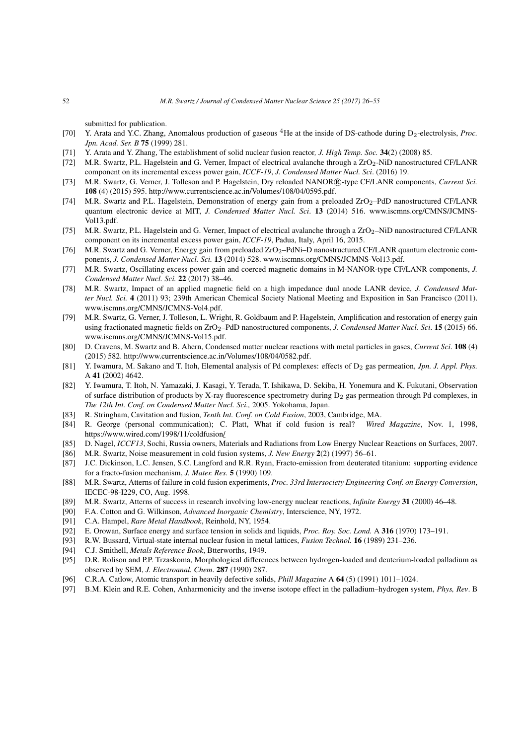submitted for publication.

- [70] Y. Arata and Y.C. Zhang, Anomalous production of gaseous <sup>4</sup>He at the inside of DS-cathode during D<sub>2</sub>-electrolysis, *Proc. Jpn. Acad. Ser. B* 75 (1999) 281.
- [71] Y. Arata and Y. Zhang, The establishment of solid nuclear fusion reactor*, J. High Temp. Soc.* 34(2) (2008) 85.
- [72] M.R. Swartz, P.L. Hagelstein and G. Verner, Impact of electrical avalanche through a ZrO<sub>2</sub>-NiD nanostructured CF/LANR component on its incremental excess power gain, *ICCF-19*, *J. Condensed Matter Nucl. Sci*. (2016) 19.
- [73] M.R. Swartz, G. Verner, J. Tolleson and P. Hagelstein, Dry reloaded NANOR®-type CF/LANR components, *Current Sci.* 108 (4) (2015) 595. http://www.currentscience.ac.in/Volumes/108/04/0595.pdf.
- [74] M.R. Swartz and P.L. Hagelstein, Demonstration of energy gain from a preloaded ZrO<sub>2</sub>–PdD nanostructured CF/LANR quantum electronic device at MIT, *J. Condensed Matter Nucl. Sci*. 13 (2014) 516. www.iscmns.org/CMNS/JCMNS-Vol13.pdf.
- [75] M.R. Swartz, P.L. Hagelstein and G. Verner, Impact of electrical avalanche through a  $ZrO<sub>2</sub>$ –NiD nanostructured CF/LANR component on its incremental excess power gain, *ICCF-19*, Padua, Italy, April 16, 2015.
- [76] M.R. Swartz and G. Verner, Energy gain from preloaded ZrO<sub>2</sub>–PdNi–D nanostructured CF/LANR quantum electronic components, *J. Condensed Matter Nucl. Sci.* 13 (2014) 528. www.iscmns.org/CMNS/JCMNS-Vol13.pdf.
- [77] M.R. Swartz, Oscillating excess power gain and coerced magnetic domains in M-NANOR-type CF/LANR components, *J. Condensed Matter Nucl. Sci.* 22 (2017) 38–46.
- [78] M.R. Swartz, Impact of an applied magnetic field on a high impedance dual anode LANR device, *J. Condensed Matter Nucl. Sci.* 4 (2011) 93; 239th American Chemical Society National Meeting and Exposition in San Francisco (2011). www.iscmns.org/CMNS/JCMNS-Vol4.pdf.
- [79] M.R. Swartz, G. Verner, J. Tolleson, L. Wright, R. Goldbaum and P. Hagelstein, Amplification and restoration of energy gain using fractionated magnetic fields on ZrO2–PdD nanostructured components, *J. Condensed Matter Nucl. Sci*. 15 (2015) 66. www.iscmns.org/CMNS/JCMNS-Vol15.pdf.
- [80] D. Cravens, M. Swartz and B. Ahern, Condensed matter nuclear reactions with metal particles in gases, *Current Sci*. 108 (4) (2015) 582. http://www.currentscience.ac.in/Volumes/108/04/0582.pdf.
- [81] Y. Iwamura, M. Sakano and T. Itoh, Elemental analysis of Pd complexes: effects of D2 gas permeation, *Jpn. J. Appl. Phys.* A 41 (2002) 4642.
- [82] Y. Iwamura, T. Itoh, N. Yamazaki, J. Kasagi, Y. Terada, T. Ishikawa, D. Sekiba, H. Yonemura and K. Fukutani, Observation of surface distribution of products by X-ray fluorescence spectrometry during  $D_2$  gas permeation through Pd complexes, in *The 12th Int. Conf. on Condensed Matter Nucl. Sci.,* 2005. Yokohama, Japan.
- [83] R. Stringham, Cavitation and fusion, *Tenth Int. Conf. on Cold Fusion*, 2003, Cambridge, MA.
- [84] R. George (personal communication); C. Platt, What if cold fusion is real? *Wired Magazine*, Nov. 1, 1998, https://www.wired.com/1998/11/coldfusion/
- [85] D. Nagel, *ICCF13*, Sochi, Russia owners, Materials and Radiations from Low Energy Nuclear Reactions on Surfaces, 2007.
- [86] M.R. Swartz, Noise measurement in cold fusion systems, *J. New Energy* 2(2) (1997) 56–61.
- [87] J.C. Dickinson, L.C. Jensen, S.C. Langford and R.R. Ryan, Fracto-emission from deuterated titanium: supporting evidence for a fracto-fusion mechanism, *J. Mater. Res.* 5 (1990) 109.
- [88] M.R. Swartz, Atterns of failure in cold fusion experiments, *Proc. 33rd Intersociety Engineering Conf. on Energy Conversion*, IECEC-98-I229, CO, Aug. 1998.
- [89] M.R. Swartz, Atterns of success in research involving low-energy nuclear reactions, *Infinite Energy* 31 (2000) 46–48.
- [90] F.A. Cotton and G. Wilkinson, *Advanced Inorganic Chemistry*, Interscience, NY, 1972.
- [91] C.A. Hampel, *Rare Metal Handbook*, Reinhold, NY, 1954.
- [92] E. Orowan, Surface energy and surface tension in solids and liquids, *Proc. Roy. Soc. Lond.* A 316 (1970) 173–191.
- [93] R.W. Bussard, Virtual-state internal nuclear fusion in metal lattices, *Fusion Technol.* 16 (1989) 231–236.
- [94] C.J. Smithell, *Metals Reference Book*, Btterworths, 1949.
- [95] D.R. Rolison and P.P. Trzaskoma, Morphological differences between hydrogen-loaded and deuterium-loaded palladium as observed by SEM, *J. Electroanal. Chem*. 287 (1990) 287.
- [96] C.R.A. Catlow, Atomic transport in heavily defective solids, *Phill Magazine* A 64 (5) (1991) 1011–1024.
- [97] B.M. Klein and R.E. Cohen, Anharmonicity and the inverse isotope effect in the palladium–hydrogen system, *Phys, Rev*. B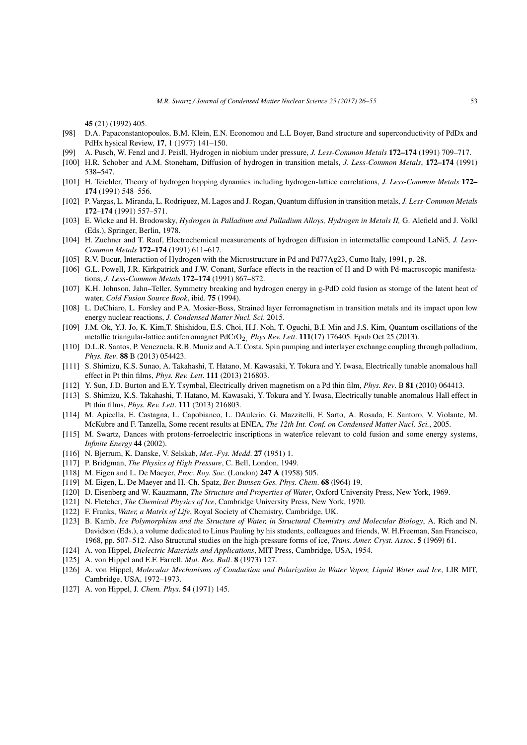45 (21) (1992) 405.

- [98] D.A. Papaconstantopoulos, B.M. Klein, E.N. Economou and L.L Boyer, Band structure and superconductivity of PdDx and PdHx hysical Review, 17, 1 (1977) 141–150.
- [99] A. Pusch, W. Fenzl and J. Peisll, Hydrogen in niobium under pressure, *J. Less-Common Metals* 172–174 (1991) 709–717.
- [100] H.R. Schober and A.M. Stoneham, Diffusion of hydrogen in transition metals, *J. Less-Common Metals*, 172–174 (1991) 538–547.
- [101] H. Teichler, Theory of hydrogen hopping dynamics including hydrogen-lattice correlations, *J. Less-Common Metals* 172– 174 (1991) 548–556.
- [102] P. Vargas, L. Miranda, L. Rodriguez, M. Lagos and J. Rogan, Quantum diffusion in transition metals, *J. Less-Common Metals* 172–174 (1991) 557–571.
- [103] E. Wicke and H. Brodowsky, *Hydrogen in Palladium and Palladium Alloys, Hydrogen in Metals II,* G. Alefield and J. Volkl (Eds.), Springer, Berlin, 1978.
- [104] H. Zuchner and T. Rauf, Electrochemical measurements of hydrogen diffusion in intermetallic compound LaNi5*, J. Less-Common Metals* 172–174 (1991) 611–617.
- [105] R.V. Bucur, Interaction of Hydrogen with the Microstructure in Pd and Pd77Ag23, Cumo Italy, 1991, p. 28.
- [106] G.L. Powell, J.R. Kirkpatrick and J.W. Conant, Surface effects in the reaction of H and D with Pd-macroscopic manifestations, *J. Less-Common Metals* 172–174 (1991) 867–872.
- [107] K.H. Johnson, Jahn–Teller, Symmetry breaking and hydrogen energy in g-PdD cold fusion as storage of the latent heat of water, *Cold Fusion Source Book*, ibid. 75 (1994).
- [108] L. DeChiaro, L. Forsley and P.A. Mosier-Boss, Strained layer ferromagnetism in transition metals and its impact upon low energy nuclear reactions, *J. Condensed Matter Nucl. Sci*. 2015.
- [109] J.M. Ok, Y.J. Jo, K. Kim,T. Shishidou, E.S. Choi, H.J. Noh, T. Oguchi, B.I. Min and J.S. Kim, Quantum oscillations of the metallic triangular-lattice antiferromagnet PdCrO2*, Phys Rev. Lett*. 111(17) 176405. Epub Oct 25 (2013).
- [110] D.L.R. Santos, P. Venezuela, R.B. Muniz and A.T. Costa, Spin pumping and interlayer exchange coupling through palladium, *Phys. Rev*. 88 B (2013) 054423.
- [111] S. Shimizu, K.S. Sunao, A. Takahashi, T. Hatano, M. Kawasaki, Y. Tokura and Y. Iwasa, Electrically tunable anomalous hall effect in Pt thin films, *Phys. Rev. Lett*. 111 (2013) 216803.
- [112] Y. Sun, J.D. Burton and E.Y. Tsymbal, Electrically driven magnetism on a Pd thin film, *Phys. Rev*. B 81 (2010) 064413.
- [113] S. Shimizu, K.S. Takahashi, T. Hatano, M. Kawasaki, Y. Tokura and Y. Iwasa, Electrically tunable anomalous Hall effect in Pt thin films, *Phys. Rev. Lett*. 111 (2013) 216803.
- [114] M. Apicella, E. Castagna, L. Capobianco, L. DAulerio, G. Mazzitelli, F. Sarto, A. Rosada, E. Santoro, V. Violante, M. McKubre and F. Tanzella, Some recent results at ENEA, *The 12th Int. Conf. on Condensed Matter Nucl. Sci.*, 2005.
- [115] M. Swartz, Dances with protons-ferroelectric inscriptions in water/ice relevant to cold fusion and some energy systems, *Infinite Energy* 44 (2002).
- [116] N. Bjerrum, K. Danske, V. Selskab, *Met.-Fys. Medd*. 27 (1951) 1.
- [117] P. Bridgman, *The Physics of High Pressure*, C. Bell, London, 1949.
- [118] M. Eigen and L. De Maeyer, *Proc. Roy. Soc*. (London) 247 A (1958) 505.
- [119] M. Eigen, L. De Maeyer and H.-Ch. Spatz, *Ber. Bunsen Ges. Phys. Chem*. 68 (l964) 19.
- [120] D. Eisenberg and W. Kauzmann, *The Structure and Properties of Water*, Oxford University Press, New York, 1969.
- [121] N. Fletcher, *The Chemical Physics of Ice*, Cambridge University Press, New York, 1970.
- [122] F. Franks, *Water, a Matrix of Life*, Royal Society of Chemistry, Cambridge, UK.
- [123] B. Kamb, *Ice Polymorphism and the Structure of Water, in Structural Chemistry and Molecular Biology*, A. Rich and N. Davidson (Eds.), a volume dedicated to Linus Pauling by his students, colleagues and friends, W. H.Freeman, San Francisco, 1968, pp. 507–512. Also Structural studies on the high-pressure forms of ice, *Trans. Amer. Cryst. Assoc*. 5 (1969) 61.
- [124] A. von Hippel, *Dielectric Materials and Applications*, MIT Press, Cambridge, USA, 1954.
- [125] A. von Hippel and E.F. Farrell, *Mat. Res. Bull*. 8 (1973) 127.
- [126] A. von Hippel, *Molecular Mechanisms of Conduction and Polarization in Water Vapor, Liquid Water and Ice*, LIR MIT, Cambridge, USA, 1972–1973.
- [127] A. von Hippel, J*. Chem. Phys*. 54 (1971) 145.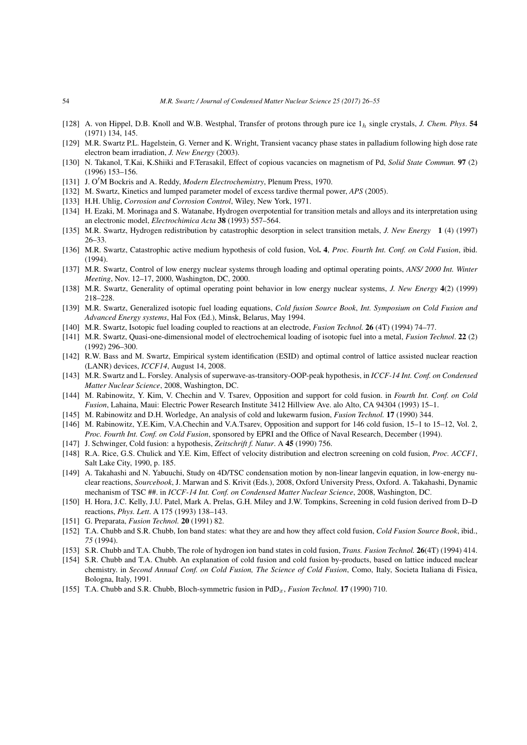- [128] A. von Hippel, D.B. Knoll and W.B. Westphal, Transfer of protons through pure ice 1*<sup>h</sup>* single crystals, *J. Chem. Phys*. 54 (1971) 134, 145.
- [129] M.R. Swartz P.L. Hagelstein, G. Verner and K. Wright, Transient vacancy phase states in palladium following high dose rate electron beam irradiation, *J. New Energy* (2003).
- [130] N. Takanol, T.Kai, K.Shiiki and F.Terasakil, Effect of copious vacancies on magnetism of Pd, *Solid State Commun.* 97 (2) (1996) 153–156.
- [131] J. O*′*M Bockris and A. Reddy, *Modern Electrochemistry*, Plenum Press, 1970.
- [132] M. Swartz, Kinetics and lumped parameter model of excess tardive thermal power, *APS* (2005).
- [133] H.H. Uhlig, *Corrosion and Corrosion Control*, Wiley, New York, 1971.
- [134] H. Ezaki, M. Morinaga and S. Watanabe, Hydrogen overpotential for transition metals and alloys and its interpretation using an electronic model, *Electrochimica Acta* 38 (1993) 557–564.
- [135] M.R. Swartz, Hydrogen redistribution by catastrophic desorption in select transition metals, *J. New Energy* 1 (4) (1997) 26–33.
- [136] M.R. Swartz, Catastrophic active medium hypothesis of cold fusion, Vol. 4, *Proc. Fourth Int. Conf. on Cold Fusion*, ibid. (1994).
- [137] M.R. Swartz, Control of low energy nuclear systems through loading and optimal operating points, *ANS/ 2000 Int. Winter Meeting*, Nov. 12–17, 2000, Washington, DC, 2000.
- [138] M.R. Swartz, Generality of optimal operating point behavior in low energy nuclear systems, *J. New Energy* 4(2) (1999) 218–228.
- [139] M.R. Swartz, Generalized isotopic fuel loading equations, *Cold fusion Source Book*, *Int. Symposium on Cold Fusion and Advanced Energy systems*, Hal Fox (Ed.), Minsk, Belarus, May 1994.
- [140] M.R. Swartz, Isotopic fuel loading coupled to reactions at an electrode, *Fusion Technol.* 26 (4T) (1994) 74–77.
- [141] M.R. Swartz, Quasi-one-dimensional model of electrochemical loading of isotopic fuel into a metal, *Fusion Technol*. 22 (2) (1992) 296–300.
- [142] R.W. Bass and M. Swartz, Empirical system identification (ESID) and optimal control of lattice assisted nuclear reaction (LANR) devices, *ICCF14*, August 14, 2008.
- [143] M.R. Swartz and L. Forsley. Analysis of superwave-as-transitory-OOP-peak hypothesis, in *ICCF-14 Int. Conf. on Condensed Matter Nuclear Science*, 2008, Washington, DC.
- [144] M. Rabinowitz, Y. Kim, V. Chechin and V. Tsarev, Opposition and support for cold fusion. in *Fourth Int. Conf. on Cold Fusion*, Lahaina, Maui: Electric Power Research Institute 3412 Hillview Ave. alo Alto, CA 94304 (1993) 15–1.
- [145] M. Rabinowitz and D.H. Worledge, An analysis of cold and lukewarm fusion, *Fusion Technol.* 17 (1990) 344.
- [146] M. Rabinowitz, Y.E.Kim, V.A.Chechin and V.A.Tsarev, Opposition and support for 146 cold fusion, 15–1 to 15–12, Vol. 2, *Proc. Fourth Int. Conf. on Cold Fusion*, sponsored by EPRI and the Office of Naval Research, December (1994).
- [147] J. Schwinger, Cold fusion: a hypothesis, *Zeitschrift f. Natur*. A 45 (1990) 756.
- [148] R.A. Rice, G.S. Chulick and Y.E. Kim, Effect of velocity distribution and electron screening on cold fusion, *Proc. ACCF1*, Salt Lake City, 1990, p. 185.
- [149] A. Takahashi and N. Yabuuchi, Study on 4D/TSC condensation motion by non-linear langevin equation, in low-energy nuclear reactions, *Sourcebook*, J. Marwan and S. Krivit (Eds.), 2008, Oxford University Press, Oxford. A. Takahashi, Dynamic mechanism of TSC ##. in *ICCF-14 Int. Conf. on Condensed Matter Nuclear Science*, 2008, Washington, DC.
- [150] H. Hora, J.C. Kelly, J.U. Patel, Mark A. Prelas, G.H. Miley and J.W. Tompkins, Screening in cold fusion derived from D–D reactions, *Phys. Lett*. A 175 (1993) 138–143.
- [151] G. Preparata, *Fusion Technol.* 20 (1991) 82.
- [152] T.A. Chubb and S.R. Chubb, Ion band states: what they are and how they affect cold fusion, *Cold Fusion Source Book*, ibid., *75* (1994).
- [153] S.R. Chubb and T.A. Chubb, The role of hydrogen ion band states in cold fusion, *Trans. Fusion Technol.* 26(4T) (1994) 414.
- [154] S.R. Chubb and T.A. Chubb. An explanation of cold fusion and cold fusion by-products, based on lattice induced nuclear chemistry. in *Second Annual Conf. on Cold Fusion, The Science of Cold Fusion*, Como, Italy, Societa Italiana di Fisica, Bologna, Italy, 1991.
- [155] T.A. Chubb and S.R. Chubb, Bloch-symmetric fusion in PdD*x*, *Fusion Technol.* 17 (1990) 710.